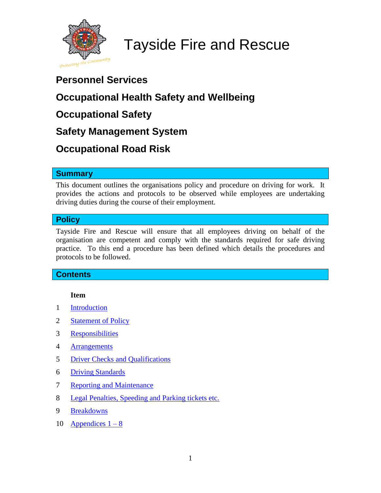

# Tayside Fire and Rescue

### **Personnel Services**

## **Occupational Health Safety and Wellbeing**

### **Occupational Safety**

### **Safety Management System**

## **Occupational Road Risk**

#### **Summary**

This document outlines the organisations policy and procedure on driving for work. It provides the actions and protocols to be observed while employees are undertaking driving duties during the course of their employment.

#### **Policy**

Tayside Fire and Rescue will ensure that all employees driving on behalf of the organisation are competent and comply with the standards required for safe driving practice. To this end a procedure has been defined which details the procedures and protocols to be followed.

### **Contents**

#### **Item**

- 1 [Introduction](#page-1-0)
- 2 [Statement of Policy](#page-3-0)
- 3 [Responsibilities](#page-3-1)
- 4 [Arrangements](#page-8-0)
- 5 [Driver Checks and Qualifications](#page-9-0)
- 6 [Driving Standards](#page-15-0)
- 7 [Reporting and Maintenance](#page-28-0)
- 8 [Legal Penalties, Speeding and Parking tickets etc.](#page-31-0)
- 9 [Breakdowns](#page-32-0)
- 10 Appendices  $1 8$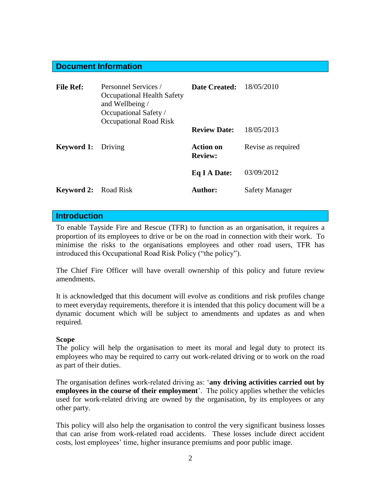#### **Document Information**

| <b>File Ref:</b>            | Personnel Services /<br>Occupational Health Safety<br>and Wellbeing /<br>Occupational Safety /<br><b>Occupational Road Risk</b> | <b>Date Created:</b>               | 18/05/2010            |  |
|-----------------------------|---------------------------------------------------------------------------------------------------------------------------------|------------------------------------|-----------------------|--|
|                             |                                                                                                                                 | <b>Review Date:</b>                | 18/05/2013            |  |
| <b>Keyword 1:</b> Driving   |                                                                                                                                 | <b>Action on</b><br><b>Review:</b> | Revise as required    |  |
|                             |                                                                                                                                 | Eq I A Date:                       | 03/09/2012            |  |
| <b>Keyword 2:</b> Road Risk |                                                                                                                                 | Author:                            | <b>Safety Manager</b> |  |

#### <span id="page-1-0"></span>**Introduction**

To enable Tayside Fire and Rescue (TFR) to function as an organisation, it requires a proportion of its employees to drive or be on the road in connection with their work. To minimise the risks to the organisations employees and other road users, TFR has introduced this Occupational Road Risk Policy ("the policy").

The Chief Fire Officer will have overall ownership of this policy and future review amendments.

It is acknowledged that this document will evolve as conditions and risk profiles change to meet everyday requirements, therefore it is intended that this policy document will be a dynamic document which will be subject to amendments and updates as and when required.

#### **Scope**

The policy will help the organisation to meet its moral and legal duty to protect its employees who may be required to carry out work-related driving or to work on the road as part of their duties.

The organisation defines work-related driving as: '**any driving activities carried out by employees in the course of their employment**'. The policy applies whether the vehicles used for work-related driving are owned by the organisation, by its employees or any other party.

This policy will also help the organisation to control the very significant business losses that can arise from work-related road accidents. These losses include direct accident costs, lost employees' time, higher insurance premiums and poor public image.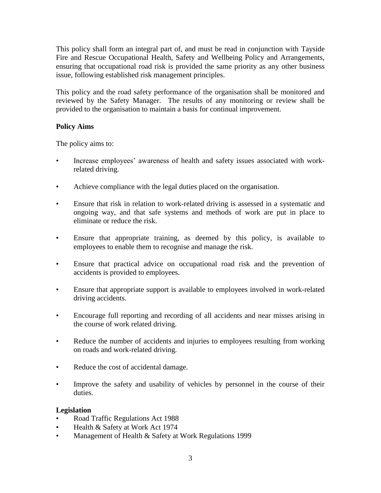This policy shall form an integral part of, and must be read in conjunction with Tayside Fire and Rescue Occupational Health, Safety and Wellbeing Policy and Arrangements, ensuring that occupational road risk is provided the same priority as any other business issue, following established risk management principles.

This policy and the road safety performance of the organisation shall be monitored and reviewed by the Safety Manager. The results of any monitoring or review shall be provided to the organisation to maintain a basis for continual improvement.

#### **Policy Aims**

The policy aims to:

- Increase employees' awareness of health and safety issues associated with workrelated driving.
- Achieve compliance with the legal duties placed on the organisation.
- Ensure that risk in relation to work-related driving is assessed in a systematic and ongoing way, and that safe systems and methods of work are put in place to eliminate or reduce the risk.
- Ensure that appropriate training, as deemed by this policy, is available to employees to enable them to recognise and manage the risk.
- Ensure that practical advice on occupational road risk and the prevention of accidents is provided to employees.
- Ensure that appropriate support is available to employees involved in work-related driving accidents.
- Encourage full reporting and recording of all accidents and near misses arising in the course of work related driving.
- Reduce the number of accidents and injuries to employees resulting from working on roads and work-related driving.
- Reduce the cost of accidental damage.
- Improve the safety and usability of vehicles by personnel in the course of their duties.

#### **Legislation**

- Road Traffic Regulations Act 1988
- Health & Safety at Work Act 1974
- Management of Health & Safety at Work Regulations 1999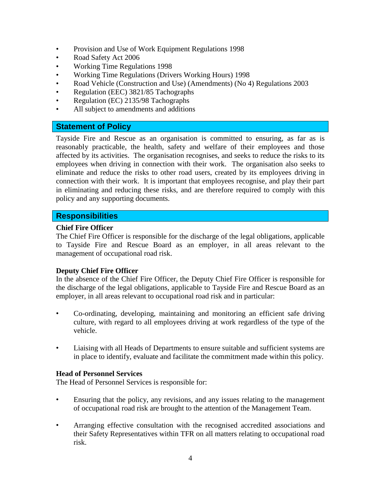- Provision and Use of Work Equipment Regulations 1998
- Road Safety Act 2006
- Working Time Regulations 1998
- Working Time Regulations (Drivers Working Hours) 1998
- Road Vehicle (Construction and Use) (Amendments) (No 4) Regulations 2003
- Regulation (EEC) 3821/85 Tachographs
- Regulation (EC) 2135/98 Tachographs
- <span id="page-3-0"></span>All subject to amendments and additions

#### **Statement of Policy**

Tayside Fire and Rescue as an organisation is committed to ensuring, as far as is reasonably practicable, the health, safety and welfare of their employees and those affected by its activities. The organisation recognises, and seeks to reduce the risks to its employees when driving in connection with their work. The organisation also seeks to eliminate and reduce the risks to other road users, created by its employees driving in connection with their work. It is important that employees recognise, and play their part in eliminating and reducing these risks, and are therefore required to comply with this policy and any supporting documents.

#### <span id="page-3-1"></span>**Responsibilities**

#### **Chief Fire Officer**

The Chief Fire Officer is responsible for the discharge of the legal obligations, applicable to Tayside Fire and Rescue Board as an employer, in all areas relevant to the management of occupational road risk.

#### **Deputy Chief Fire Officer**

In the absence of the Chief Fire Officer, the Deputy Chief Fire Officer is responsible for the discharge of the legal obligations, applicable to Tayside Fire and Rescue Board as an employer, in all areas relevant to occupational road risk and in particular:

- Co-ordinating, developing, maintaining and monitoring an efficient safe driving culture, with regard to all employees driving at work regardless of the type of the vehicle.
- Liaising with all Heads of Departments to ensure suitable and sufficient systems are in place to identify, evaluate and facilitate the commitment made within this policy.

#### **Head of Personnel Services**

The Head of Personnel Services is responsible for:

- Ensuring that the policy, any revisions, and any issues relating to the management of occupational road risk are brought to the attention of the Management Team.
- Arranging effective consultation with the recognised accredited associations and their Safety Representatives within TFR on all matters relating to occupational road risk.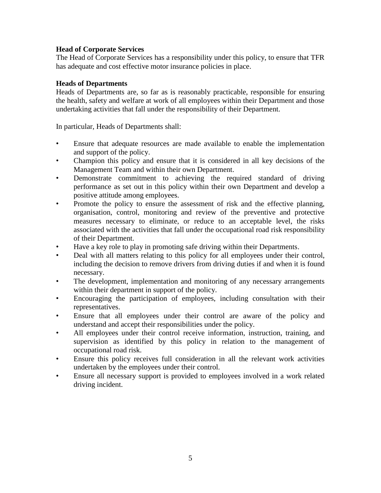#### **Head of Corporate Services**

The Head of Corporate Services has a responsibility under this policy, to ensure that TFR has adequate and cost effective motor insurance policies in place.

#### **Heads of Departments**

Heads of Departments are, so far as is reasonably practicable, responsible for ensuring the health, safety and welfare at work of all employees within their Department and those undertaking activities that fall under the responsibility of their Department.

In particular, Heads of Departments shall:

- Ensure that adequate resources are made available to enable the implementation and support of the policy.
- Champion this policy and ensure that it is considered in all key decisions of the Management Team and within their own Department.
- Demonstrate commitment to achieving the required standard of driving performance as set out in this policy within their own Department and develop a positive attitude among employees.
- Promote the policy to ensure the assessment of risk and the effective planning, organisation, control, monitoring and review of the preventive and protective measures necessary to eliminate, or reduce to an acceptable level, the risks associated with the activities that fall under the occupational road risk responsibility of their Department.
- Have a key role to play in promoting safe driving within their Departments.
- Deal with all matters relating to this policy for all employees under their control, including the decision to remove drivers from driving duties if and when it is found necessary.
- The development, implementation and monitoring of any necessary arrangements within their department in support of the policy.
- Encouraging the participation of employees, including consultation with their representatives.
- Ensure that all employees under their control are aware of the policy and understand and accept their responsibilities under the policy.
- All employees under their control receive information, instruction, training, and supervision as identified by this policy in relation to the management of occupational road risk.
- Ensure this policy receives full consideration in all the relevant work activities undertaken by the employees under their control.
- Ensure all necessary support is provided to employees involved in a work related driving incident.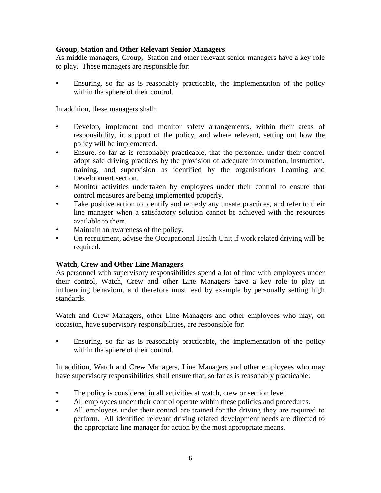#### **Group, Station and Other Relevant Senior Managers**

As middle managers, Group, Station and other relevant senior managers have a key role to play. These managers are responsible for:

• Ensuring, so far as is reasonably practicable, the implementation of the policy within the sphere of their control.

In addition, these managers shall:

- Develop, implement and monitor safety arrangements, within their areas of responsibility, in support of the policy, and where relevant, setting out how the policy will be implemented.
- Ensure, so far as is reasonably practicable, that the personnel under their control adopt safe driving practices by the provision of adequate information, instruction, training, and supervision as identified by the organisations Learning and Development section.
- Monitor activities undertaken by employees under their control to ensure that control measures are being implemented properly.
- Take positive action to identify and remedy any unsafe practices, and refer to their line manager when a satisfactory solution cannot be achieved with the resources available to them.
- Maintain an awareness of the policy.
- On recruitment, advise the Occupational Health Unit if work related driving will be required.

#### **Watch, Crew and Other Line Managers**

As personnel with supervisory responsibilities spend a lot of time with employees under their control, Watch, Crew and other Line Managers have a key role to play in influencing behaviour, and therefore must lead by example by personally setting high standards.

Watch and Crew Managers, other Line Managers and other employees who may, on occasion, have supervisory responsibilities, are responsible for:

• Ensuring, so far as is reasonably practicable, the implementation of the policy within the sphere of their control.

In addition, Watch and Crew Managers, Line Managers and other employees who may have supervisory responsibilities shall ensure that, so far as is reasonably practicable:

- The policy is considered in all activities at watch, crew or section level.
- All employees under their control operate within these policies and procedures.
- All employees under their control are trained for the driving they are required to perform. All identified relevant driving related development needs are directed to the appropriate line manager for action by the most appropriate means.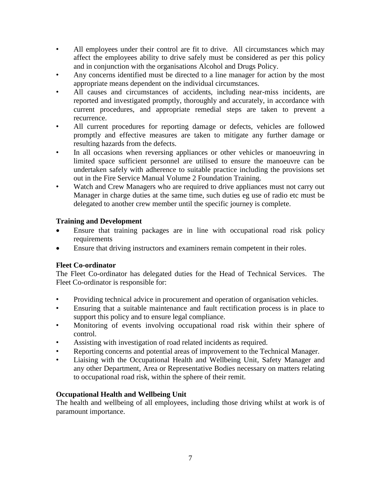- All employees under their control are fit to drive. All circumstances which may affect the employees ability to drive safely must be considered as per this policy and in conjunction with the organisations Alcohol and Drugs Policy.
- Any concerns identified must be directed to a line manager for action by the most appropriate means dependent on the individual circumstances.
- All causes and circumstances of accidents, including near-miss incidents, are reported and investigated promptly, thoroughly and accurately, in accordance with current procedures, and appropriate remedial steps are taken to prevent a recurrence.
- All current procedures for reporting damage or defects, vehicles are followed promptly and effective measures are taken to mitigate any further damage or resulting hazards from the defects.
- In all occasions when reversing appliances or other vehicles or manoeuvring in limited space sufficient personnel are utilised to ensure the manoeuvre can be undertaken safely with adherence to suitable practice including the provisions set out in the Fire Service Manual Volume 2 Foundation Training.
- Watch and Crew Managers who are required to drive appliances must not carry out Manager in charge duties at the same time, such duties eg use of radio etc must be delegated to another crew member until the specific journey is complete.

#### **Training and Development**

- Ensure that training packages are in line with occupational road risk policy requirements
- Ensure that driving instructors and examiners remain competent in their roles.

#### **Fleet Co-ordinator**

The Fleet Co-ordinator has delegated duties for the Head of Technical Services. The Fleet Co-ordinator is responsible for:

- Providing technical advice in procurement and operation of organisation vehicles.
- Ensuring that a suitable maintenance and fault rectification process is in place to support this policy and to ensure legal compliance.
- Monitoring of events involving occupational road risk within their sphere of control.
- Assisting with investigation of road related incidents as required.
- Reporting concerns and potential areas of improvement to the Technical Manager.
- Liaising with the Occupational Health and Wellbeing Unit, Safety Manager and any other Department, Area or Representative Bodies necessary on matters relating to occupational road risk, within the sphere of their remit.

#### **Occupational Health and Wellbeing Unit**

The health and wellbeing of all employees, including those driving whilst at work is of paramount importance.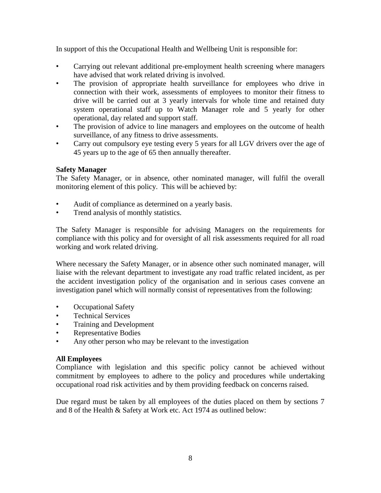In support of this the Occupational Health and Wellbeing Unit is responsible for:

- Carrying out relevant additional pre-employment health screening where managers have advised that work related driving is involved.
- The provision of appropriate health surveillance for employees who drive in connection with their work, assessments of employees to monitor their fitness to drive will be carried out at 3 yearly intervals for whole time and retained duty system operational staff up to Watch Manager role and 5 yearly for other operational, day related and support staff.
- The provision of advice to line managers and employees on the outcome of health surveillance, of any fitness to drive assessments.
- Carry out compulsory eye testing every 5 years for all LGV drivers over the age of 45 years up to the age of 65 then annually thereafter.

#### **Safety Manager**

The Safety Manager, or in absence, other nominated manager, will fulfil the overall monitoring element of this policy. This will be achieved by:

- Audit of compliance as determined on a yearly basis.
- Trend analysis of monthly statistics.

The Safety Manager is responsible for advising Managers on the requirements for compliance with this policy and for oversight of all risk assessments required for all road working and work related driving.

Where necessary the Safety Manager, or in absence other such nominated manager, will liaise with the relevant department to investigate any road traffic related incident, as per the accident investigation policy of the organisation and in serious cases convene an investigation panel which will normally consist of representatives from the following:

- Occupational Safety
- Technical Services
- Training and Development
- Representative Bodies
- Any other person who may be relevant to the investigation

#### **All Employees**

Compliance with legislation and this specific policy cannot be achieved without commitment by employees to adhere to the policy and procedures while undertaking occupational road risk activities and by them providing feedback on concerns raised.

Due regard must be taken by all employees of the duties placed on them by sections 7 and 8 of the Health & Safety at Work etc. Act 1974 as outlined below: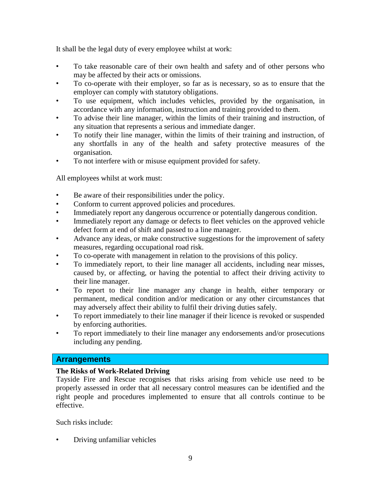It shall be the legal duty of every employee whilst at work:

- To take reasonable care of their own health and safety and of other persons who may be affected by their acts or omissions.
- To co-operate with their employer, so far as is necessary, so as to ensure that the employer can comply with statutory obligations.
- To use equipment, which includes vehicles, provided by the organisation, in accordance with any information, instruction and training provided to them.
- To advise their line manager, within the limits of their training and instruction, of any situation that represents a serious and immediate danger.
- To notify their line manager, within the limits of their training and instruction, of any shortfalls in any of the health and safety protective measures of the organisation.
- To not interfere with or misuse equipment provided for safety.

All employees whilst at work must:

- Be aware of their responsibilities under the policy.
- Conform to current approved policies and procedures.
- Immediately report any dangerous occurrence or potentially dangerous condition.
- Immediately report any damage or defects to fleet vehicles on the approved vehicle defect form at end of shift and passed to a line manager.
- Advance any ideas, or make constructive suggestions for the improvement of safety measures, regarding occupational road risk.
- To co-operate with management in relation to the provisions of this policy.
- To immediately report, to their line manager all accidents, including near misses, caused by, or affecting, or having the potential to affect their driving activity to their line manager.
- To report to their line manager any change in health, either temporary or permanent, medical condition and/or medication or any other circumstances that may adversely affect their ability to fulfil their driving duties safely.
- To report immediately to their line manager if their licence is revoked or suspended by enforcing authorities.
- To report immediately to their line manager any endorsements and/or prosecutions including any pending.

#### <span id="page-8-0"></span>**Arrangements**

#### **The Risks of Work-Related Driving**

Tayside Fire and Rescue recognises that risks arising from vehicle use need to be properly assessed in order that all necessary control measures can be identified and the right people and procedures implemented to ensure that all controls continue to be effective.

Such risks include:

• Driving unfamiliar vehicles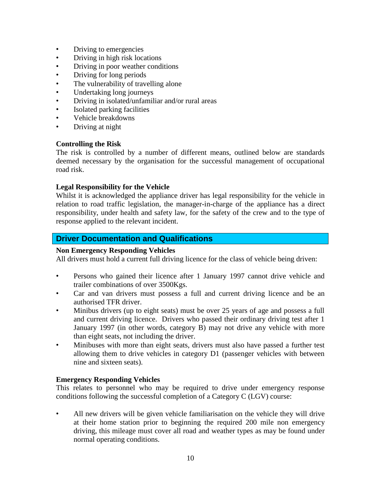- Driving to emergencies
- Driving in high risk locations
- Driving in poor weather conditions
- Driving for long periods
- The vulnerability of travelling alone
- Undertaking long journeys
- Driving in isolated/unfamiliar and/or rural areas
- Isolated parking facilities
- Vehicle breakdowns
- Driving at night

#### **Controlling the Risk**

The risk is controlled by a number of different means, outlined below are standards deemed necessary by the organisation for the successful management of occupational road risk.

#### **Legal Responsibility for the Vehicle**

Whilst it is acknowledged the appliance driver has legal responsibility for the vehicle in relation to road traffic legislation, the manager-in-charge of the appliance has a direct responsibility, under health and safety law, for the safety of the crew and to the type of response applied to the relevant incident.

#### <span id="page-9-0"></span>**Driver Documentation and Qualifications**

#### **Non Emergency Responding Vehicles**

All drivers must hold a current full driving licence for the class of vehicle being driven:

- Persons who gained their licence after 1 January 1997 cannot drive vehicle and trailer combinations of over 3500Kgs.
- Car and van drivers must possess a full and current driving licence and be an authorised TFR driver.
- Minibus drivers (up to eight seats) must be over 25 years of age and possess a full and current driving licence. Drivers who passed their ordinary driving test after 1 January 1997 (in other words, category B) may not drive any vehicle with more than eight seats, not including the driver.
- Minibuses with more than eight seats, drivers must also have passed a further test allowing them to drive vehicles in category D1 (passenger vehicles with between nine and sixteen seats).

#### **Emergency Responding Vehicles**

This relates to personnel who may be required to drive under emergency response conditions following the successful completion of a Category C (LGV) course:

• All new drivers will be given vehicle familiarisation on the vehicle they will drive at their home station prior to beginning the required 200 mile non emergency driving, this mileage must cover all road and weather types as may be found under normal operating conditions.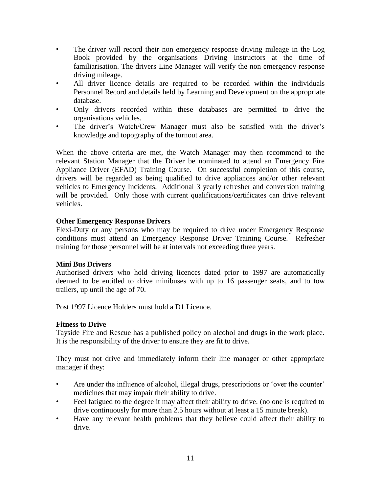- The driver will record their non emergency response driving mileage in the Log Book provided by the organisations Driving Instructors at the time of familiarisation. The drivers Line Manager will verify the non emergency response driving mileage.
- All driver licence details are required to be recorded within the individuals Personnel Record and details held by Learning and Development on the appropriate database.
- Only drivers recorded within these databases are permitted to drive the organisations vehicles.
- The driver's Watch/Crew Manager must also be satisfied with the driver's knowledge and topography of the turnout area.

When the above criteria are met, the Watch Manager may then recommend to the relevant Station Manager that the Driver be nominated to attend an Emergency Fire Appliance Driver (EFAD) Training Course. On successful completion of this course, drivers will be regarded as being qualified to drive appliances and/or other relevant vehicles to Emergency Incidents. Additional 3 yearly refresher and conversion training will be provided. Only those with current qualifications/certificates can drive relevant vehicles.

#### **Other Emergency Response Drivers**

Flexi-Duty or any persons who may be required to drive under Emergency Response conditions must attend an Emergency Response Driver Training Course. Refresher training for those personnel will be at intervals not exceeding three years.

#### **Mini Bus Drivers**

Authorised drivers who hold driving licences dated prior to 1997 are automatically deemed to be entitled to drive minibuses with up to 16 passenger seats, and to tow trailers, up until the age of 70.

Post 1997 Licence Holders must hold a D1 Licence.

#### **Fitness to Drive**

Tayside Fire and Rescue has a published policy on alcohol and drugs in the work place. It is the responsibility of the driver to ensure they are fit to drive.

They must not drive and immediately inform their line manager or other appropriate manager if they:

- Are under the influence of alcohol, illegal drugs, prescriptions or 'over the counter' medicines that may impair their ability to drive.
- Feel fatigued to the degree it may affect their ability to drive. (no one is required to drive continuously for more than 2.5 hours without at least a 15 minute break).
- Have any relevant health problems that they believe could affect their ability to drive.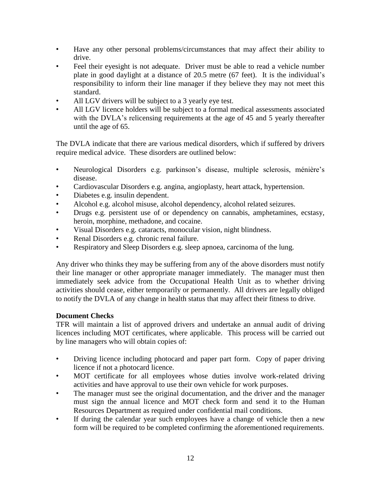- Have any other personal problems/circumstances that may affect their ability to drive.
- Feel their eyesight is not adequate. Driver must be able to read a vehicle number plate in good daylight at a distance of 20.5 metre (67 feet). It is the individual's responsibility to inform their line manager if they believe they may not meet this standard.
- All LGV drivers will be subject to a 3 yearly eye test.
- All LGV licence holders will be subject to a formal medical assessments associated with the DVLA's relicensing requirements at the age of 45 and 5 yearly thereafter until the age of 65.

The DVLA indicate that there are various medical disorders, which if suffered by drivers require medical advice. These disorders are outlined below:

- Neurological Disorders e.g. parkinson's disease, multiple sclerosis, ménière's disease.
- Cardiovascular Disorders e.g. angina, angioplasty, heart attack, hypertension.
- Diabetes e.g. insulin dependent.
- Alcohol e.g. alcohol misuse, alcohol dependency, alcohol related seizures.
- Drugs e.g. persistent use of or dependency on cannabis, amphetamines, ecstasy, heroin, morphine, methadone, and cocaine.
- Visual Disorders e.g. cataracts, monocular vision, night blindness.
- Renal Disorders e.g. chronic renal failure.
- Respiratory and Sleep Disorders e.g. sleep apnoea, carcinoma of the lung.

Any driver who thinks they may be suffering from any of the above disorders must notify their line manager or other appropriate manager immediately. The manager must then immediately seek advice from the Occupational Health Unit as to whether driving activities should cease, either temporarily or permanently. All drivers are legally obliged to notify the DVLA of any change in health status that may affect their fitness to drive.

#### **Document Checks**

TFR will maintain a list of approved drivers and undertake an annual audit of driving licences including MOT certificates, where applicable. This process will be carried out by line managers who will obtain copies of:

- Driving licence including photocard and paper part form. Copy of paper driving licence if not a photocard licence.
- MOT certificate for all employees whose duties involve work-related driving activities and have approval to use their own vehicle for work purposes.
- The manager must see the original documentation, and the driver and the manager must sign the annual licence and MOT check form and send it to the Human Resources Department as required under confidential mail conditions.
- If during the calendar year such employees have a change of vehicle then a new form will be required to be completed confirming the aforementioned requirements.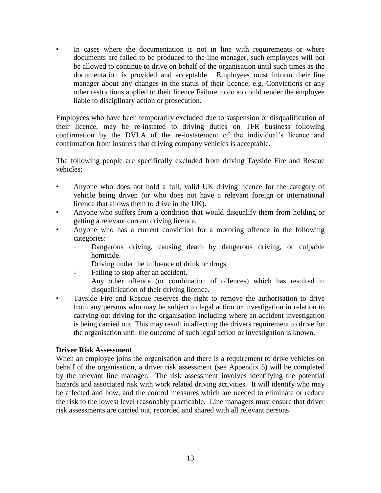• In cases where the documentation is not in line with requirements or where documents are failed to be produced to the line manager, such employees will not be allowed to continue to drive on behalf of the organisation until such times as the documentation is provided and acceptable. Employees must inform their line manager about any changes in the status of their licence, e.g. Convictions or any other restrictions applied to their licence Failure to do so could render the employee liable to disciplinary action or prosecution.

Employees who have been temporarily excluded due to suspension or disqualification of their licence, may be re-instated to driving duties on TFR business following confirmation by the DVLA of the re-instatement of the individual's licence and confirmation from insurers that driving company vehicles is acceptable.

The following people are specifically excluded from driving Tayside Fire and Rescue vehicles:

- Anyone who does not hold a full, valid UK driving licence for the category of vehicle being driven (or who does not have a relevant foreign or international licence that allows them to drive in the UK).
- Anyone who suffers from a condition that would disqualify them from holding or getting a relevant current driving licence.
- Anyone who has a current conviction for a motoring offence in the following categories:
	- Dangerous driving, causing death by dangerous driving, or culpable homicide.
	- Driving under the influence of drink or drugs.
	- Failing to stop after an accident.
	- Any other offence (or combination of offences) which has resulted in disqualification of their driving licence.
- Tayside Fire and Rescue reserves the right to remove the authorisation to drive from any persons who may be subject to legal action or investigation in relation to carrying out driving for the organisation including where an accident investigation is being carried out. This may result in affecting the drivers requirement to drive for the organisation until the outcome of such legal action or investigation is known.

#### **Driver Risk Assessment**

When an employee joins the organisation and there is a requirement to drive vehicles on behalf of the organisation, a driver risk assessment (see Appendix 5) will be completed by the relevant line manager. The risk assessment involves identifying the potential hazards and associated risk with work related driving activities. It will identify who may be affected and how, and the control measures which are needed to eliminate or reduce the risk to the lowest level reasonably practicable. Line managers must ensure that driver risk assessments are carried out, recorded and shared with all relevant persons.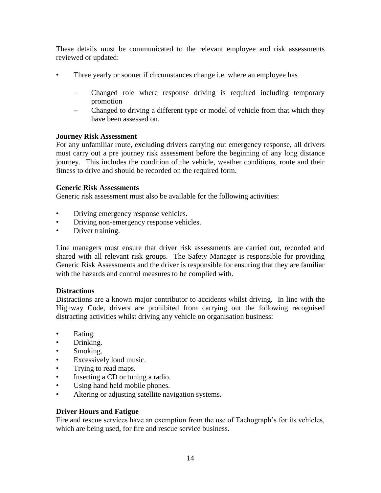These details must be communicated to the relevant employee and risk assessments reviewed or updated:

- Three yearly or sooner if circumstances change i.e. where an employee has
	- Changed role where response driving is required including temporary promotion
	- Changed to driving a different type or model of vehicle from that which they have been assessed on.

#### **Journey Risk Assessment**

For any unfamiliar route, excluding drivers carrying out emergency response, all drivers must carry out a pre journey risk assessment before the beginning of any long distance journey. This includes the condition of the vehicle, weather conditions, route and their fitness to drive and should be recorded on the required form.

#### **Generic Risk Assessments**

Generic risk assessment must also be available for the following activities:

- Driving emergency response vehicles.
- Driving non-emergency response vehicles.
- Driver training.

Line managers must ensure that driver risk assessments are carried out, recorded and shared with all relevant risk groups. The Safety Manager is responsible for providing Generic Risk Assessments and the driver is responsible for ensuring that they are familiar with the hazards and control measures to be complied with.

#### **Distractions**

Distractions are a known major contributor to accidents whilst driving. In line with the Highway Code, drivers are prohibited from carrying out the following recognised distracting activities whilst driving any vehicle on organisation business:

- Eating.
- Drinking.
- Smoking.
- Excessively loud music.
- Trying to read maps.
- Inserting a CD or tuning a radio.
- Using hand held mobile phones.
- Altering or adjusting satellite navigation systems.

#### **Driver Hours and Fatigue**

Fire and rescue services have an exemption from the use of Tachograph's for its vehicles, which are being used, for fire and rescue service business.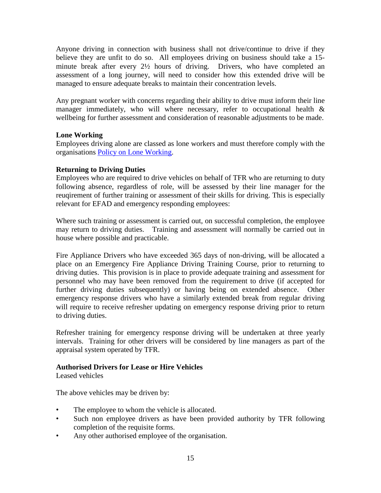Anyone driving in connection with business shall not drive/continue to drive if they believe they are unfit to do so. All employees driving on business should take a 15 minute break after every 2½ hours of driving. Drivers, who have completed an assessment of a long journey, will need to consider how this extended drive will be managed to ensure adequate breaks to maintain their concentration levels.

Any pregnant worker with concerns regarding their ability to drive must inform their line manager immediately, who will where necessary, refer to occupational health & wellbeing for further assessment and consideration of reasonable adjustments to be made.

#### **Lone Working**

Employees driving alone are classed as lone workers and must therefore comply with the organisations [Policy on Lone Working.](http://www.tfb.net/Standing%20Instructions/Personnel%20Services/Occupational%20Health%20Safety%20and%20Wellbeing/Occupational%20Safety/Safety%20Management%20System/Lone%20Working%20Policy.doc)

#### **Returning to Driving Duties**

Employees who are required to drive vehicles on behalf of TFR who are returning to duty following absence, regardless of role, will be assessed by their line manager for the reuqirement of further training or assessment of their skills for driving. This is especially relevant for EFAD and emergency responding employees:

Where such training or assessment is carried out, on successful completion, the employee may return to driving duties. Training and assessment will normally be carried out in house where possible and practicable.

Fire Appliance Drivers who have exceeded 365 days of non-driving, will be allocated a place on an Emergency Fire Appliance Driving Training Course, prior to returning to driving duties. This provision is in place to provide adequate training and assessment for personnel who may have been removed from the requirement to drive (if accepted for further driving duties subsequently) or having being on extended absence. Other emergency response drivers who have a similarly extended break from regular driving will require to receive refresher updating on emergency response driving prior to return to driving duties.

Refresher training for emergency response driving will be undertaken at three yearly intervals. Training for other drivers will be considered by line managers as part of the appraisal system operated by TFR.

#### **Authorised Drivers for Lease or Hire Vehicles**

Leased vehicles

The above vehicles may be driven by:

- The employee to whom the vehicle is allocated.
- Such non employee drivers as have been provided authority by TFR following completion of the requisite forms.
- Any other authorised employee of the organisation.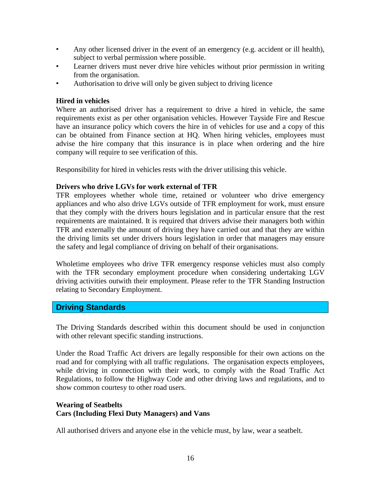- Any other licensed driver in the event of an emergency (e.g. accident or ill health), subject to verbal permission where possible.
- Learner drivers must never drive hire vehicles without prior permission in writing from the organisation.
- Authorisation to drive will only be given subject to driving licence

#### **Hired in vehicles**

Where an authorised driver has a requirement to drive a hired in vehicle, the same requirements exist as per other organisation vehicles. However Tayside Fire and Rescue have an insurance policy which covers the hire in of vehicles for use and a copy of this can be obtained from Finance section at HQ. When hiring vehicles, employees must advise the hire company that this insurance is in place when ordering and the hire company will require to see verification of this.

Responsibility for hired in vehicles rests with the driver utilising this vehicle.

#### **Drivers who drive LGVs for work external of TFR**

TFR employees whether whole time, retained or volunteer who drive emergency appliances and who also drive LGVs outside of TFR employment for work, must ensure that they comply with the drivers hours legislation and in particular ensure that the rest requirements are maintained. It is required that drivers advise their managers both within TFR and externally the amount of driving they have carried out and that they are within the driving limits set under drivers hours legislation in order that managers may ensure the safety and legal compliance of driving on behalf of their organisations.

Wholetime employees who drive TFR emergency response vehicles must also comply with the TFR secondary employment procedure when considering undertaking LGV driving activities outwith their employment. Please refer to the TFR Standing Instruction relating to Secondary Employment.

#### <span id="page-15-0"></span>**Driving Standards**

The Driving Standards described within this document should be used in conjunction with other relevant specific standing instructions.

Under the Road Traffic Act drivers are legally responsible for their own actions on the road and for complying with all traffic regulations. The organisation expects employees, while driving in connection with their work, to comply with the Road Traffic Act Regulations, to follow the Highway Code and other driving laws and regulations, and to show common courtesy to other road users.

#### **Wearing of Seatbelts Cars (Including Flexi Duty Managers) and Vans**

All authorised drivers and anyone else in the vehicle must, by law, wear a seatbelt.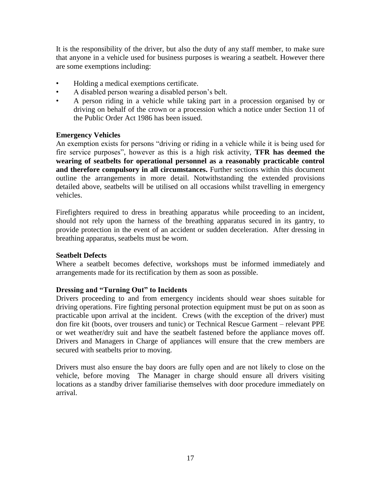It is the responsibility of the driver, but also the duty of any staff member, to make sure that anyone in a vehicle used for business purposes is wearing a seatbelt. However there are some exemptions including:

- Holding a medical exemptions certificate.
- A disabled person wearing a disabled person's belt.
- A person riding in a vehicle while taking part in a procession organised by or driving on behalf of the crown or a procession which a notice under Section 11 of the Public Order Act 1986 has been issued.

#### **Emergency Vehicles**

An exemption exists for persons "driving or riding in a vehicle while it is being used for fire service purposes", however as this is a high risk activity, **TFR has deemed the wearing of seatbelts for operational personnel as a reasonably practicable control and therefore compulsory in all circumstances.** Further sections within this document outline the arrangements in more detail. Notwithstanding the extended provisions detailed above, seatbelts will be utilised on all occasions whilst travelling in emergency vehicles.

Firefighters required to dress in breathing apparatus while proceeding to an incident, should not rely upon the harness of the breathing apparatus secured in its gantry, to provide protection in the event of an accident or sudden deceleration. After dressing in breathing apparatus, seatbelts must be worn.

#### **Seatbelt Defects**

Where a seatbelt becomes defective, workshops must be informed immediately and arrangements made for its rectification by them as soon as possible.

#### **Dressing and "Turning Out" to Incidents**

Drivers proceeding to and from emergency incidents should wear shoes suitable for driving operations. Fire fighting personal protection equipment must be put on as soon as practicable upon arrival at the incident. Crews (with the exception of the driver) must don fire kit (boots, over trousers and tunic) or Technical Rescue Garment – relevant PPE or wet weather/dry suit and have the seatbelt fastened before the appliance moves off. Drivers and Managers in Charge of appliances will ensure that the crew members are secured with seatbelts prior to moving.

Drivers must also ensure the bay doors are fully open and are not likely to close on the vehicle, before moving The Manager in charge should ensure all drivers visiting locations as a standby driver familiarise themselves with door procedure immediately on arrival.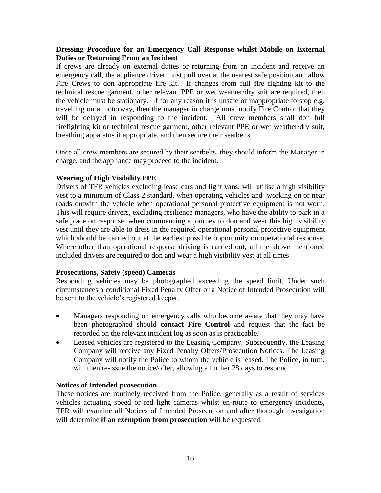#### **Dressing Procedure for an Emergency Call Response whilst Mobile on External Duties or Returning From an Incident**

If crews are already on external duties or returning from an incident and receive an emergency call, the appliance driver must pull over at the nearest safe position and allow Fire Crews to don appropriate fire kit. If changes from full fire fighting kit to the technical rescue garment, other relevant PPE or wet weather/dry suit are required, then the vehicle must be stationary. If for any reason it is unsafe or inappropriate to stop e.g. travelling on a motorway, then the manager in charge must notify Fire Control that they will be delayed in responding to the incident. All crew members shall don full firefighting kit or technical rescue garment, other relevant PPE or wet weather/dry suit, breathing apparatus if appropriate, and then secure their seatbelts.

Once all crew members are secured by their seatbelts, they should inform the Manager in charge, and the appliance may proceed to the incident.

#### **Wearing of High Visibility PPE**

Drivers of TFR vehicles excluding lease cars and light vans, will utilise a high visibility vest to a minimum of Class 2 standard, when operating vehicles and working on or near roads outwith the vehicle when operational personal protective equipment is not worn. This will require drivers, excluding resilience managers, who have the ability to park in a safe place on response, when commencing a journey to don and wear this high visibility vest until they are able to dress in the required operational personal protective equipment which should be carried out at the earliest possible opportunity on operational response. Where other than operational response driving is carried out, all the above mentioned included drivers are required to don and wear a high visibility vest at all times

#### **Prosecutions, Safety (speed) Cameras**

Responding vehicles may be photographed exceeding the speed limit. Under such circumstances a conditional Fixed Penalty Offer or a Notice of Intended Prosecution will be sent to the vehicle's registered keeper.

- Managers responding on emergency calls who become aware that they may have been photographed should **contact Fire Control** and request that the fact be recorded on the relevant incident log as soon as is practicable.
- Leased vehicles are registered to the Leasing Company. Subsequently, the Leasing Company will receive any Fixed Penalty Offers/Prosecution Notices. The Leasing Company will notify the Police to whom the vehicle is leased. The Police, in turn, will then re-issue the notice/offer, allowing a further 28 days to respond.

#### **Notices of Intended prosecution**

These notices are routinely received from the Police, generally as a result of services vehicles actuating speed or red light cameras whilst en-route to emergency incidents, TFR will examine all Notices of Intended Prosecution and after thorough investigation will determine **if an exemption from prosecution** will be requested.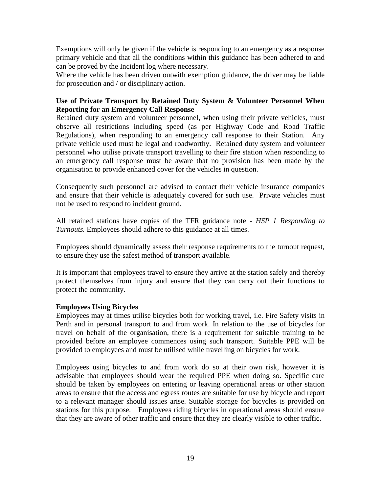Exemptions will only be given if the vehicle is responding to an emergency as a response primary vehicle and that all the conditions within this guidance has been adhered to and can be proved by the Incident log where necessary.

Where the vehicle has been driven outwith exemption guidance, the driver may be liable for prosecution and / or disciplinary action.

#### **Use of Private Transport by Retained Duty System & Volunteer Personnel When Reporting for an Emergency Call Response**

Retained duty system and volunteer personnel, when using their private vehicles, must observe all restrictions including speed (as per Highway Code and Road Traffic Regulations), when responding to an emergency call response to their Station. Any private vehicle used must be legal and roadworthy. Retained duty system and volunteer personnel who utilise private transport travelling to their fire station when responding to an emergency call response must be aware that no provision has been made by the organisation to provide enhanced cover for the vehicles in question.

Consequently such personnel are advised to contact their vehicle insurance companies and ensure that their vehicle is adequately covered for such use. Private vehicles must not be used to respond to incident ground.

All retained stations have copies of the TFR guidance note - *HSP 1 Responding to Turnouts.* Employees should adhere to this guidance at all times.

Employees should dynamically assess their response requirements to the turnout request, to ensure they use the safest method of transport available.

It is important that employees travel to ensure they arrive at the station safely and thereby protect themselves from injury and ensure that they can carry out their functions to protect the community.

#### **Employees Using Bicycles**

Employees may at times utilise bicycles both for working travel, i.e. Fire Safety visits in Perth and in personal transport to and from work. In relation to the use of bicycles for travel on behalf of the organisation, there is a requirement for suitable training to be provided before an employee commences using such transport. Suitable PPE will be provided to employees and must be utilised while travelling on bicycles for work.

Employees using bicycles to and from work do so at their own risk, however it is advisable that employees should wear the required PPE when doing so. Specific care should be taken by employees on entering or leaving operational areas or other station areas to ensure that the access and egress routes are suitable for use by bicycle and report to a relevant manager should issues arise. Suitable storage for bicycles is provided on stations for this purpose. Employees riding bicycles in operational areas should ensure that they are aware of other traffic and ensure that they are clearly visible to other traffic.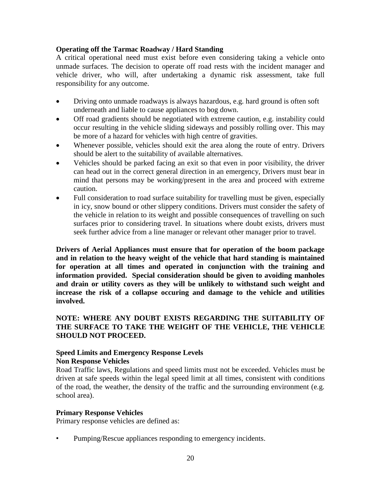#### **Operating off the Tarmac Roadway / Hard Standing**

A critical operational need must exist before even considering taking a vehicle onto unmade surfaces. The decision to operate off road rests with the incident manager and vehicle driver, who will, after undertaking a dynamic risk assessment, take full responsibility for any outcome.

- Driving onto unmade roadways is always hazardous, e.g. hard ground is often soft underneath and liable to cause appliances to bog down.
- Off road gradients should be negotiated with extreme caution, e.g. instability could occur resulting in the vehicle sliding sideways and possibly rolling over. This may be more of a hazard for vehicles with high centre of gravities.
- Whenever possible, vehicles should exit the area along the route of entry. Drivers should be alert to the suitability of available alternatives.
- Vehicles should be parked facing an exit so that even in poor visibility, the driver can head out in the correct general direction in an emergency, Drivers must bear in mind that persons may be working/present in the area and proceed with extreme caution.
- Full consideration to road surface suitability for travelling must be given, especially in icy, snow bound or other slippery conditions. Drivers must consider the safety of the vehicle in relation to its weight and possible consequences of travelling on such surfaces prior to considering travel. In situations where doubt exists, drivers must seek further advice from a line manager or relevant other manager prior to travel.

**Drivers of Aerial Appliances must ensure that for operation of the boom package and in relation to the heavy weight of the vehicle that hard standing is maintained for operation at all times and operated in conjunction with the training and information provided. Special consideration should be given to avoiding manholes and drain or utility covers as they will be unlikely to withstand such weight and increase the risk of a collapse occuring and damage to the vehicle and utilities involved.**

#### **NOTE: WHERE ANY DOUBT EXISTS REGARDING THE SUITABILITY OF THE SURFACE TO TAKE THE WEIGHT OF THE VEHICLE, THE VEHICLE SHOULD NOT PROCEED.**

#### **Speed Limits and Emergency Response Levels Non Response Vehicles**

Road Traffic laws, Regulations and speed limits must not be exceeded. Vehicles must be driven at safe speeds within the legal speed limit at all times, consistent with conditions of the road, the weather, the density of the traffic and the surrounding environment (e.g. school area).

#### **Primary Response Vehicles**

Primary response vehicles are defined as:

Pumping/Rescue appliances responding to emergency incidents.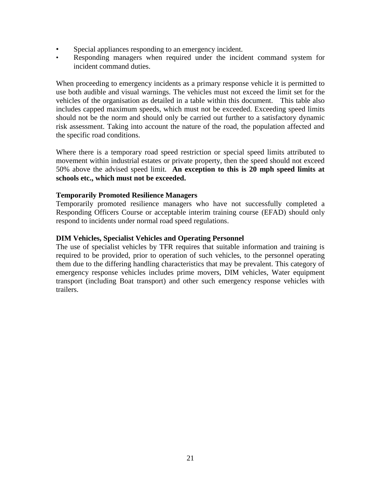- Special appliances responding to an emergency incident.
- Responding managers when required under the incident command system for incident command duties.

When proceeding to emergency incidents as a primary response vehicle it is permitted to use both audible and visual warnings. The vehicles must not exceed the limit set for the vehicles of the organisation as detailed in a table within this document. This table also includes capped maximum speeds, which must not be exceeded. Exceeding speed limits should not be the norm and should only be carried out further to a satisfactory dynamic risk assessment. Taking into account the nature of the road, the population affected and the specific road conditions.

Where there is a temporary road speed restriction or special speed limits attributed to movement within industrial estates or private property, then the speed should not exceed 50% above the advised speed limit. **An exception to this is 20 mph speed limits at schools etc., which must not be exceeded.**

#### **Temporarily Promoted Resilience Managers**

Temporarily promoted resilience managers who have not successfully completed a Responding Officers Course or acceptable interim training course (EFAD) should only respond to incidents under normal road speed regulations.

#### **DIM Vehicles, Specialist Vehicles and Operating Personnel**

The use of specialist vehicles by TFR requires that suitable information and training is required to be provided, prior to operation of such vehicles, to the personnel operating them due to the differing handling characteristics that may be prevalent. This category of emergency response vehicles includes prime movers, DIM vehicles, Water equipment transport (including Boat transport) and other such emergency response vehicles with trailers.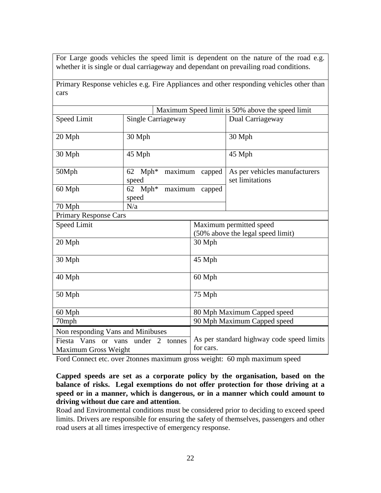For Large goods vehicles the speed limit is dependent on the nature of the road e.g. whether it is single or dual carriageway and dependant on prevailing road conditions.

Primary Response vehicles e.g. Fire Appliances and other responding vehicles other than cars

| Maximum Speed limit is 50% above the speed limit                   |                              |                                           |                                                  |  |
|--------------------------------------------------------------------|------------------------------|-------------------------------------------|--------------------------------------------------|--|
| Speed Limit                                                        | <b>Single Carriageway</b>    |                                           | Dual Carriageway                                 |  |
|                                                                    |                              |                                           |                                                  |  |
| 20 Mph                                                             | 30 Mph                       |                                           | 30 Mph                                           |  |
|                                                                    |                              |                                           |                                                  |  |
| 30 Mph                                                             | 45 Mph                       |                                           | 45 Mph                                           |  |
|                                                                    |                              |                                           |                                                  |  |
| 50Mph                                                              | 62 Mph*<br>maximum capped    |                                           | As per vehicles manufacturers<br>set limitations |  |
| 60 Mph                                                             | speed<br>62 Mph <sup>*</sup> | maximum capped                            |                                                  |  |
|                                                                    | speed                        |                                           |                                                  |  |
| 70 Mph                                                             | N/a                          |                                           |                                                  |  |
| <b>Primary Response Cars</b>                                       |                              |                                           |                                                  |  |
| Speed Limit                                                        |                              | Maximum permitted speed                   |                                                  |  |
|                                                                    |                              |                                           | (50% above the legal speed limit)                |  |
| 20 Mph                                                             |                              | 30 Mph                                    |                                                  |  |
|                                                                    |                              |                                           |                                                  |  |
| 30 Mph                                                             |                              | 45 Mph                                    |                                                  |  |
|                                                                    |                              |                                           |                                                  |  |
| 40 Mph                                                             |                              | 60 Mph                                    |                                                  |  |
|                                                                    |                              |                                           |                                                  |  |
| 50 Mph                                                             |                              | 75 Mph                                    |                                                  |  |
|                                                                    |                              |                                           |                                                  |  |
| 60 Mph                                                             |                              | 80 Mph Maximum Capped speed               |                                                  |  |
| 70mph                                                              |                              | 90 Mph Maximum Capped speed               |                                                  |  |
| Non responding Vans and Minibuses                                  |                              |                                           |                                                  |  |
| under<br>Fiesta Vans<br><sup>2</sup><br>$\alpha$<br>vans<br>tonnes |                              | As per standard highway code speed limits |                                                  |  |
| Maximum Gross Weight                                               |                              | for cars.                                 |                                                  |  |

Ford Connect etc. over 2tonnes maximum gross weight: 60 mph maximum speed

**Capped speeds are set as a corporate policy by the organisation, based on the balance of risks. Legal exemptions do not offer protection for those driving at a speed or in a manner, which is dangerous, or in a manner which could amount to driving without due care and attention**.

Road and Environmental conditions must be considered prior to deciding to exceed speed limits. Drivers are responsible for ensuring the safety of themselves, passengers and other road users at all times irrespective of emergency response.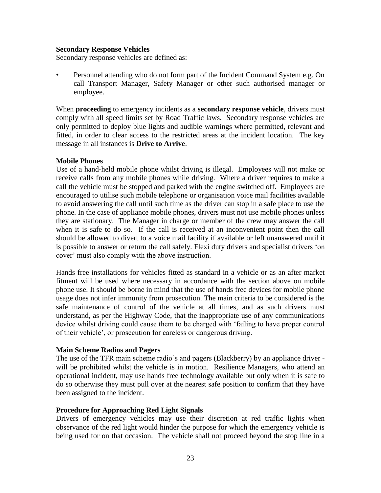#### **Secondary Response Vehicles**

Secondary response vehicles are defined as:

• Personnel attending who do not form part of the Incident Command System e.g. On call Transport Manager, Safety Manager or other such authorised manager or employee.

When **proceeding** to emergency incidents as a **secondary response vehicle**, drivers must comply with all speed limits set by Road Traffic laws. Secondary response vehicles are only permitted to deploy blue lights and audible warnings where permitted, relevant and fitted, in order to clear access to the restricted areas at the incident location. The key message in all instances is **Drive to Arrive**.

#### **Mobile Phones**

Use of a hand-held mobile phone whilst driving is illegal. Employees will not make or receive calls from any mobile phones while driving. Where a driver requires to make a call the vehicle must be stopped and parked with the engine switched off. Employees are encouraged to utilise such mobile telephone or organisation voice mail facilities available to avoid answering the call until such time as the driver can stop in a safe place to use the phone. In the case of appliance mobile phones, drivers must not use mobile phones unless they are stationary. The Manager in charge or member of the crew may answer the call when it is safe to do so. If the call is received at an inconvenient point then the call should be allowed to divert to a voice mail facility if available or left unanswered until it is possible to answer or return the call safely. Flexi duty drivers and specialist drivers 'on cover' must also comply with the above instruction.

Hands free installations for vehicles fitted as standard in a vehicle or as an after market fitment will be used where necessary in accordance with the section above on mobile phone use. It should be borne in mind that the use of hands free devices for mobile phone usage does not infer immunity from prosecution. The main criteria to be considered is the safe maintenance of control of the vehicle at all times, and as such drivers must understand, as per the Highway Code, that the inappropriate use of any communications device whilst driving could cause them to be charged with 'failing to have proper control of their vehicle', or prosecution for careless or dangerous driving.

#### **Main Scheme Radios and Pagers**

The use of the TFR main scheme radio's and pagers (Blackberry) by an appliance driver will be prohibited whilst the vehicle is in motion. Resilience Managers, who attend an operational incident, may use hands free technology available but only when it is safe to do so otherwise they must pull over at the nearest safe position to confirm that they have been assigned to the incident.

#### **Procedure for Approaching Red Light Signals**

Drivers of emergency vehicles may use their discretion at red traffic lights when observance of the red light would hinder the purpose for which the emergency vehicle is being used for on that occasion. The vehicle shall not proceed beyond the stop line in a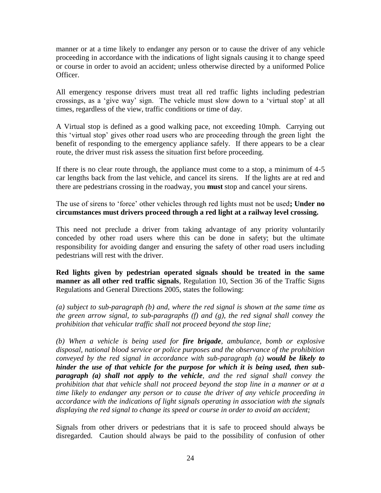manner or at a time likely to endanger any person or to cause the driver of any vehicle proceeding in accordance with the indications of light signals causing it to change speed or course in order to avoid an accident; unless otherwise directed by a uniformed Police Officer.

All emergency response drivers must treat all red traffic lights including pedestrian crossings, as a 'give way' sign. The vehicle must slow down to a 'virtual stop' at all times, regardless of the view, traffic conditions or time of day.

A Virtual stop is defined as a good walking pace, not exceeding 10mph. Carrying out this 'virtual stop' gives other road users who are proceeding through the green light the benefit of responding to the emergency appliance safely. If there appears to be a clear route, the driver must risk assess the situation first before proceeding.

If there is no clear route through, the appliance must come to a stop, a minimum of 4-5 car lengths back from the last vehicle, and cancel its sirens. If the lights are at red and there are pedestrians crossing in the roadway, you **must** stop and cancel your sirens.

The use of sirens to 'force' other vehicles through red lights must not be used**; Under no circumstances must drivers proceed through a red light at a railway level crossing.**

This need not preclude a driver from taking advantage of any priority voluntarily conceded by other road users where this can be done in safety; but the ultimate responsibility for avoiding danger and ensuring the safety of other road users including pedestrians will rest with the driver.

**Red lights given by pedestrian operated signals should be treated in the same manner as all other red traffic signals**, Regulation 10, Section 36 of the Traffic Signs Regulations and General Directions 2005, states the following:

*(a) subject to sub-paragraph (b) and, where the red signal is shown at the same time as the green arrow signal, to sub-paragraphs (f) and (g), the red signal shall convey the prohibition that vehicular traffic shall not proceed beyond the stop line;*

*(b) When a vehicle is being used for fire brigade, ambulance, bomb or explosive disposal, national blood service or police purposes and the observance of the prohibition conveyed by the red signal in accordance with sub-paragraph (a) would be likely to hinder the use of that vehicle for the purpose for which it is being used, then subparagraph (a) shall not apply to the vehicle, and the red signal shall convey the prohibition that that vehicle shall not proceed beyond the stop line in a manner or at a time likely to endanger any person or to cause the driver of any vehicle proceeding in accordance with the indications of light signals operating in association with the signals displaying the red signal to change its speed or course in order to avoid an accident;*

Signals from other drivers or pedestrians that it is safe to proceed should always be disregarded. Caution should always be paid to the possibility of confusion of other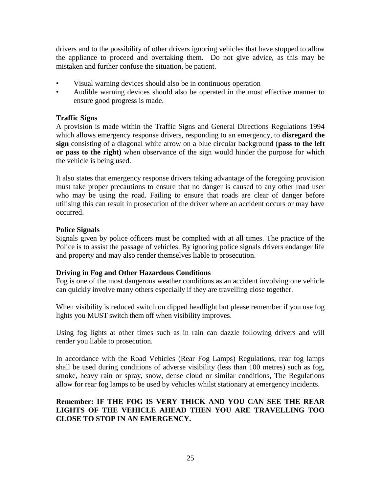drivers and to the possibility of other drivers ignoring vehicles that have stopped to allow the appliance to proceed and overtaking them. Do not give advice, as this may be mistaken and further confuse the situation, be patient.

- Visual warning devices should also be in continuous operation
- Audible warning devices should also be operated in the most effective manner to ensure good progress is made.

#### **Traffic Signs**

A provision is made within the Traffic Signs and General Directions Regulations 1994 which allows emergency response drivers, responding to an emergency, to **disregard the sign** consisting of a diagonal white arrow on a blue circular background (**pass to the left or pass to the right)** when observance of the sign would hinder the purpose for which the vehicle is being used.

It also states that emergency response drivers taking advantage of the foregoing provision must take proper precautions to ensure that no danger is caused to any other road user who may be using the road. Failing to ensure that roads are clear of danger before utilising this can result in prosecution of the driver where an accident occurs or may have occurred.

#### **Police Signals**

Signals given by police officers must be complied with at all times. The practice of the Police is to assist the passage of vehicles. By ignoring police signals drivers endanger life and property and may also render themselves liable to prosecution.

#### **Driving in Fog and Other Hazardous Conditions**

Fog is one of the most dangerous weather conditions as an accident involving one vehicle can quickly involve many others especially if they are travelling close together.

When visibility is reduced switch on dipped headlight but please remember if you use fog lights you MUST switch them off when visibility improves.

Using fog lights at other times such as in rain can dazzle following drivers and will render you liable to prosecution.

In accordance with the Road Vehicles (Rear Fog Lamps) Regulations, rear fog lamps shall be used during conditions of adverse visibility (less than 100 metres) such as fog, smoke, heavy rain or spray, snow, dense cloud or similar conditions, The Regulations allow for rear fog lamps to be used by vehicles whilst stationary at emergency incidents.

#### **Remember: IF THE FOG IS VERY THICK AND YOU CAN SEE THE REAR LIGHTS OF THE VEHICLE AHEAD THEN YOU ARE TRAVELLING TOO CLOSE TO STOP IN AN EMERGENCY.**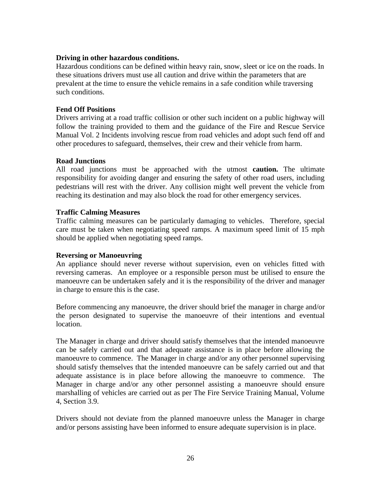#### **Driving in other hazardous conditions.**

Hazardous conditions can be defined within heavy rain, snow, sleet or ice on the roads. In these situations drivers must use all caution and drive within the parameters that are prevalent at the time to ensure the vehicle remains in a safe condition while traversing such conditions.

#### **Fend Off Positions**

Drivers arriving at a road traffic collision or other such incident on a public highway will follow the training provided to them and the guidance of the Fire and Rescue Service Manual Vol. 2 Incidents involving rescue from road vehicles and adopt such fend off and other procedures to safeguard, themselves, their crew and their vehicle from harm.

#### **Road Junctions**

All road junctions must be approached with the utmost **caution.** The ultimate responsibility for avoiding danger and ensuring the safety of other road users, including pedestrians will rest with the driver. Any collision might well prevent the vehicle from reaching its destination and may also block the road for other emergency services.

#### **Traffic Calming Measures**

Traffic calming measures can be particularly damaging to vehicles. Therefore, special care must be taken when negotiating speed ramps. A maximum speed limit of 15 mph should be applied when negotiating speed ramps.

#### **Reversing or Manoeuvring**

An appliance should never reverse without supervision, even on vehicles fitted with reversing cameras. An employee or a responsible person must be utilised to ensure the manoeuvre can be undertaken safely and it is the responsibility of the driver and manager in charge to ensure this is the case.

Before commencing any manoeuvre, the driver should brief the manager in charge and/or the person designated to supervise the manoeuvre of their intentions and eventual location.

The Manager in charge and driver should satisfy themselves that the intended manoeuvre can be safely carried out and that adequate assistance is in place before allowing the manoeuvre to commence. The Manager in charge and/or any other personnel supervising should satisfy themselves that the intended manoeuvre can be safely carried out and that adequate assistance is in place before allowing the manoeuvre to commence. The Manager in charge and/or any other personnel assisting a manoeuvre should ensure marshalling of vehicles are carried out as per The Fire Service Training Manual, Volume 4, Section 3.9.

Drivers should not deviate from the planned manoeuvre unless the Manager in charge and/or persons assisting have been informed to ensure adequate supervision is in place.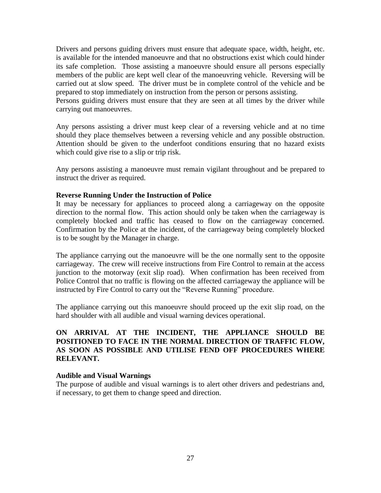Drivers and persons guiding drivers must ensure that adequate space, width, height, etc. is available for the intended manoeuvre and that no obstructions exist which could hinder its safe completion. Those assisting a manoeuvre should ensure all persons especially members of the public are kept well clear of the manoeuvring vehicle. Reversing will be carried out at slow speed. The driver must be in complete control of the vehicle and be prepared to stop immediately on instruction from the person or persons assisting.

Persons guiding drivers must ensure that they are seen at all times by the driver while carrying out manoeuvres.

Any persons assisting a driver must keep clear of a reversing vehicle and at no time should they place themselves between a reversing vehicle and any possible obstruction. Attention should be given to the underfoot conditions ensuring that no hazard exists which could give rise to a slip or trip risk.

Any persons assisting a manoeuvre must remain vigilant throughout and be prepared to instruct the driver as required.

#### **Reverse Running Under the Instruction of Police**

It may be necessary for appliances to proceed along a carriageway on the opposite direction to the normal flow. This action should only be taken when the carriageway is completely blocked and traffic has ceased to flow on the carriageway concerned. Confirmation by the Police at the incident, of the carriageway being completely blocked is to be sought by the Manager in charge.

The appliance carrying out the manoeuvre will be the one normally sent to the opposite carriageway. The crew will receive instructions from Fire Control to remain at the access junction to the motorway (exit slip road). When confirmation has been received from Police Control that no traffic is flowing on the affected carriageway the appliance will be instructed by Fire Control to carry out the "Reverse Running" procedure.

The appliance carrying out this manoeuvre should proceed up the exit slip road, on the hard shoulder with all audible and visual warning devices operational.

#### **ON ARRIVAL AT THE INCIDENT, THE APPLIANCE SHOULD BE POSITIONED TO FACE IN THE NORMAL DIRECTION OF TRAFFIC FLOW, AS SOON AS POSSIBLE AND UTILISE FEND OFF PROCEDURES WHERE RELEVANT.**

#### **Audible and Visual Warnings**

The purpose of audible and visual warnings is to alert other drivers and pedestrians and, if necessary, to get them to change speed and direction.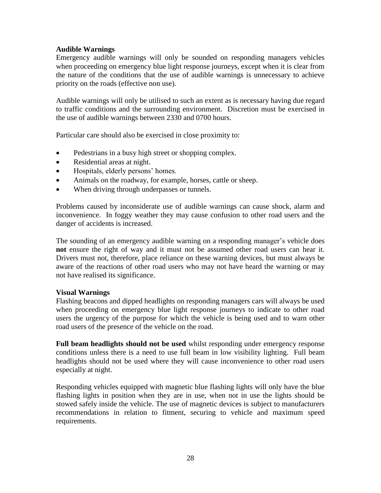#### **Audible Warnings**

Emergency audible warnings will only be sounded on responding managers vehicles when proceeding on emergency blue light response journeys, except when it is clear from the nature of the conditions that the use of audible warnings is unnecessary to achieve priority on the roads (effective non use).

Audible warnings will only be utilised to such an extent as is necessary having due regard to traffic conditions and the surrounding environment. Discretion must be exercised in the use of audible warnings between 2330 and 0700 hours.

Particular care should also be exercised in close proximity to:

- Pedestrians in a busy high street or shopping complex.
- Residential areas at night.
- Hospitals, elderly persons' homes.
- Animals on the roadway, for example, horses, cattle or sheep.
- When driving through underpasses or tunnels.

Problems caused by inconsiderate use of audible warnings can cause shock, alarm and inconvenience. In foggy weather they may cause confusion to other road users and the danger of accidents is increased.

The sounding of an emergency audible warning on a responding manager's vehicle does **not** ensure the right of way and it must not be assumed other road users can hear it. Drivers must not, therefore, place reliance on these warning devices, but must always be aware of the reactions of other road users who may not have heard the warning or may not have realised its significance.

#### **Visual Warnings**

Flashing beacons and dipped headlights on responding managers cars will always be used when proceeding on emergency blue light response journeys to indicate to other road users the urgency of the purpose for which the vehicle is being used and to warn other road users of the presence of the vehicle on the road.

**Full beam headlights should not be used** whilst responding under emergency response conditions unless there is a need to use full beam in low visibility lighting. Full beam headlights should not be used where they will cause inconvenience to other road users especially at night.

Responding vehicles equipped with magnetic blue flashing lights will only have the blue flashing lights in position when they are in use, when not in use the lights should be stowed safely inside the vehicle. The use of magnetic devices is subject to manufacturers recommendations in relation to fitment, securing to vehicle and maximum speed requirements.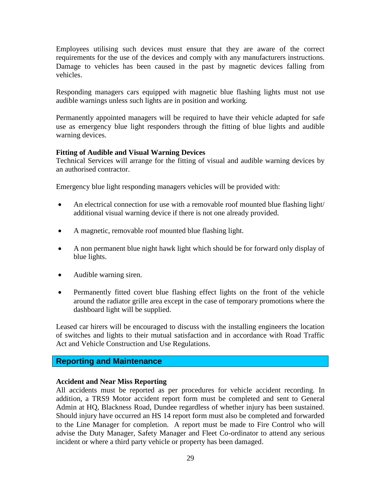Employees utilising such devices must ensure that they are aware of the correct requirements for the use of the devices and comply with any manufacturers instructions. Damage to vehicles has been caused in the past by magnetic devices falling from vehicles.

Responding managers cars equipped with magnetic blue flashing lights must not use audible warnings unless such lights are in position and working.

Permanently appointed managers will be required to have their vehicle adapted for safe use as emergency blue light responders through the fitting of blue lights and audible warning devices.

#### **Fitting of Audible and Visual Warning Devices**

Technical Services will arrange for the fitting of visual and audible warning devices by an authorised contractor.

Emergency blue light responding managers vehicles will be provided with:

- An electrical connection for use with a removable roof mounted blue flashing light/ additional visual warning device if there is not one already provided.
- A magnetic, removable roof mounted blue flashing light.
- A non permanent blue night hawk light which should be for forward only display of blue lights.
- Audible warning siren.
- Permanently fitted covert blue flashing effect lights on the front of the vehicle around the radiator grille area except in the case of temporary promotions where the dashboard light will be supplied.

Leased car hirers will be encouraged to discuss with the installing engineers the location of switches and lights to their mutual satisfaction and in accordance with Road Traffic Act and Vehicle Construction and Use Regulations.

#### <span id="page-28-0"></span>**Reporting and Maintenance**

#### **Accident and Near Miss Reporting**

All accidents must be reported as per procedures for vehicle accident recording. In addition, a TRS9 Motor accident report form must be completed and sent to General Admin at HQ, Blackness Road, Dundee regardless of whether injury has been sustained. Should injury have occurred an HS 14 report form must also be completed and forwarded to the Line Manager for completion. A report must be made to Fire Control who will advise the Duty Manager, Safety Manager and Fleet Co-ordinator to attend any serious incident or where a third party vehicle or property has been damaged.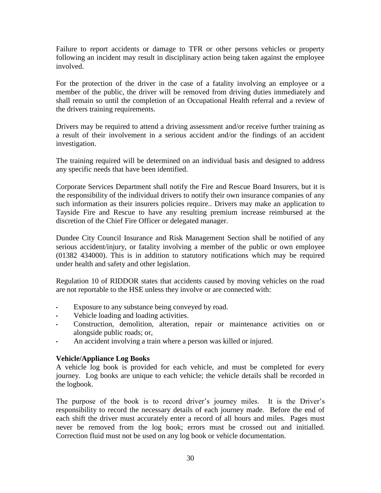Failure to report accidents or damage to TFR or other persons vehicles or property following an incident may result in disciplinary action being taken against the employee involved.

For the protection of the driver in the case of a fatality involving an employee or a member of the public, the driver will be removed from driving duties immediately and shall remain so until the completion of an Occupational Health referral and a review of the drivers training requirements.

Drivers may be required to attend a driving assessment and/or receive further training as a result of their involvement in a serious accident and/or the findings of an accident investigation.

The training required will be determined on an individual basis and designed to address any specific needs that have been identified.

Corporate Services Department shall notify the Fire and Rescue Board Insurers, but it is the responsibility of the individual drivers to notify their own insurance companies of any such information as their insurers policies require.. Drivers may make an application to Tayside Fire and Rescue to have any resulting premium increase reimbursed at the discretion of the Chief Fire Officer or delegated manager.

Dundee City Council Insurance and Risk Management Section shall be notified of any serious accident/injury, or fatality involving a member of the public or own employee (01382 434000). This is in addition to statutory notifications which may be required under health and safety and other legislation.

Regulation 10 of RIDDOR states that accidents caused by moving vehicles on the road are not reportable to the HSE unless they involve or are connected with:

- Exposure to any substance being conveyed by road.
- Vehicle loading and loading activities.
- Construction, demolition, alteration, repair or maintenance activities on or alongside public roads; or,
- An accident involving a train where a person was killed or injured.

#### **Vehicle/Appliance Log Books**

A vehicle log book is provided for each vehicle, and must be completed for every journey. Log books are unique to each vehicle; the vehicle details shall be recorded in the logbook.

The purpose of the book is to record driver's journey miles. It is the Driver's responsibility to record the necessary details of each journey made. Before the end of each shift the driver must accurately enter a record of all hours and miles. Pages must never be removed from the log book; errors must be crossed out and initialled. Correction fluid must not be used on any log book or vehicle documentation.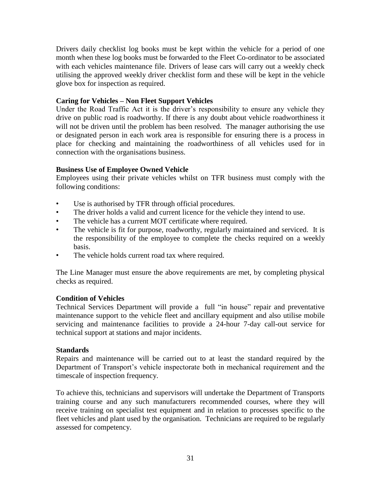Drivers daily checklist log books must be kept within the vehicle for a period of one month when these log books must be forwarded to the Fleet Co-ordinator to be associated with each vehicles maintenance file. Drivers of lease cars will carry out a weekly check utilising the approved weekly driver checklist form and these will be kept in the vehicle glove box for inspection as required.

#### **Caring for Vehicles – Non Fleet Support Vehicles**

Under the Road Traffic Act it is the driver's responsibility to ensure any vehicle they drive on public road is roadworthy. If there is any doubt about vehicle roadworthiness it will not be driven until the problem has been resolved. The manager authorising the use or designated person in each work area is responsible for ensuring there is a process in place for checking and maintaining the roadworthiness of all vehicles used for in connection with the organisations business.

#### **Business Use of Employee Owned Vehicle**

Employees using their private vehicles whilst on TFR business must comply with the following conditions:

- Use is authorised by TFR through official procedures.
- The driver holds a valid and current licence for the vehicle they intend to use.
- The vehicle has a current MOT certificate where required.
- The vehicle is fit for purpose, roadworthy, regularly maintained and serviced. It is the responsibility of the employee to complete the checks required on a weekly basis.
- The vehicle holds current road tax where required.

The Line Manager must ensure the above requirements are met, by completing physical checks as required.

#### **Condition of Vehicles**

Technical Services Department will provide a full "in house" repair and preventative maintenance support to the vehicle fleet and ancillary equipment and also utilise mobile servicing and maintenance facilities to provide a 24-hour 7-day call-out service for technical support at stations and major incidents.

#### **Standards**

Repairs and maintenance will be carried out to at least the standard required by the Department of Transport's vehicle inspectorate both in mechanical requirement and the timescale of inspection frequency.

To achieve this, technicians and supervisors will undertake the Department of Transports training course and any such manufacturers recommended courses, where they will receive training on specialist test equipment and in relation to processes specific to the fleet vehicles and plant used by the organisation. Technicians are required to be regularly assessed for competency.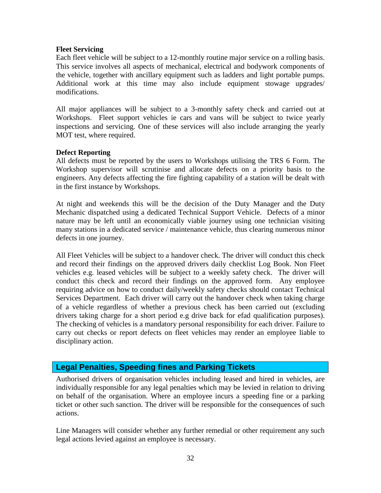#### **Fleet Servicing**

Each fleet vehicle will be subject to a 12-monthly routine major service on a rolling basis. This service involves all aspects of mechanical, electrical and bodywork components of the vehicle, together with ancillary equipment such as ladders and light portable pumps. Additional work at this time may also include equipment stowage upgrades/ modifications.

All major appliances will be subject to a 3-monthly safety check and carried out at Workshops. Fleet support vehicles ie cars and vans will be subject to twice yearly inspections and servicing. One of these services will also include arranging the yearly MOT test, where required.

#### **Defect Reporting**

All defects must be reported by the users to Workshops utilising the TRS 6 Form. The Workshop supervisor will scrutinise and allocate defects on a priority basis to the engineers. Any defects affecting the fire fighting capability of a station will be dealt with in the first instance by Workshops.

At night and weekends this will be the decision of the Duty Manager and the Duty Mechanic dispatched using a dedicated Technical Support Vehicle. Defects of a minor nature may be left until an economically viable journey using one technician visiting many stations in a dedicated service / maintenance vehicle, thus clearing numerous minor defects in one journey.

All Fleet Vehicles will be subject to a handover check. The driver will conduct this check and record their findings on the approved drivers daily checklist Log Book. Non Fleet vehicles e.g. leased vehicles will be subject to a weekly safety check. The driver will conduct this check and record their findings on the approved form. Any employee requiring advice on how to conduct daily/weekly safety checks should contact Technical Services Department. Each driver will carry out the handover check when taking charge of a vehicle regardless of whether a previous check has been carried out (excluding drivers taking charge for a short period e.g drive back for efad qualification purposes). The checking of vehicles is a mandatory personal responsibility for each driver. Failure to carry out checks or report defects on fleet vehicles may render an employee liable to disciplinary action.

#### <span id="page-31-0"></span>**Legal Penalties, Speeding fines and Parking Tickets**

Authorised drivers of organisation vehicles including leased and hired in vehicles, are individually responsible for any legal penalties which may be levied in relation to driving on behalf of the organisation. Where an employee incurs a speeding fine or a parking ticket or other such sanction. The driver will be responsible for the consequences of such actions.

Line Managers will consider whether any further remedial or other requirement any such legal actions levied against an employee is necessary.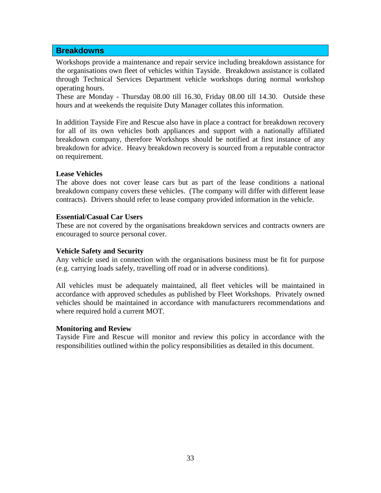#### <span id="page-32-0"></span>**Breakdowns**

Workshops provide a maintenance and repair service including breakdown assistance for the organisations own fleet of vehicles within Tayside. Breakdown assistance is collated through Technical Services Department vehicle workshops during normal workshop operating hours.

These are Monday - Thursday 08.00 till 16.30, Friday 08.00 till 14.30. Outside these hours and at weekends the requisite Duty Manager collates this information.

In addition Tayside Fire and Rescue also have in place a contract for breakdown recovery for all of its own vehicles both appliances and support with a nationally affiliated breakdown company, therefore Workshops should be notified at first instance of any breakdown for advice. Heavy breakdown recovery is sourced from a reputable contractor on requirement.

#### **Lease Vehicles**

The above does not cover lease cars but as part of the lease conditions a national breakdown company covers these vehicles. (The company will differ with different lease contracts). Drivers should refer to lease company provided information in the vehicle.

#### **Essential/Casual Car Users**

These are not covered by the organisations breakdown services and contracts owners are encouraged to source personal cover.

#### **Vehicle Safety and Security**

Any vehicle used in connection with the organisations business must be fit for purpose (e.g. carrying loads safely, travelling off road or in adverse conditions).

All vehicles must be adequately maintained, all fleet vehicles will be maintained in accordance with approved schedules as published by Fleet Workshops. Privately owned vehicles should be maintained in accordance with manufacturers recommendations and where required hold a current MOT.

#### **Monitoring and Review**

Tayside Fire and Rescue will monitor and review this policy in accordance with the responsibilities outlined within the policy responsibilities as detailed in this document.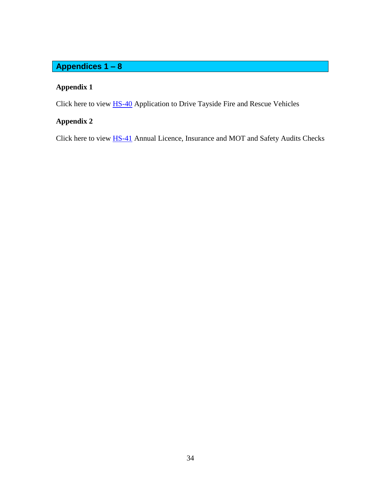### <span id="page-33-0"></span>**Appendices 1 – 8**

### **Appendix 1**

Click here to view [HS-40](http://www.tfb.net/docs/Shared%20Documents/Standard%20Forms/HS-40%20Application%20to%20Drive%20TFR%20Vehicles.doc) Application to Drive Tayside Fire and Rescue Vehicles

#### **Appendix 2**

Click here to view [HS-41](http://www.tfb.net/docs/Shared%20Documents/Standard%20Forms/HS-41%20Annual%20Licence,%20Insurance%20and%20MOT%20and%20Safety%20Audits%20Checks.doc) Annual Licence, Insurance and MOT and Safety Audits Checks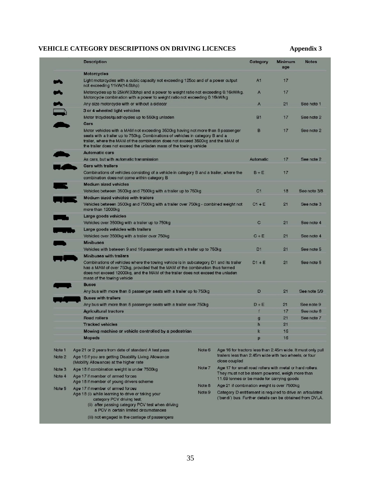#### **VEHICLE CATEGORY DESCRIPTIONS ON DRIVING LICENCES Appendix 3**

|              | <b>Description</b>                                                                                                                                                                                                                                                                                                         |        |                                                                                                                         | Category       | <b>Minimum</b><br>age | <b>Notes</b> |
|--------------|----------------------------------------------------------------------------------------------------------------------------------------------------------------------------------------------------------------------------------------------------------------------------------------------------------------------------|--------|-------------------------------------------------------------------------------------------------------------------------|----------------|-----------------------|--------------|
|              | <b>Motorcycles</b>                                                                                                                                                                                                                                                                                                         |        |                                                                                                                         |                |                       |              |
|              | Light motorcycles with a cubic capacity not exceeding 125cc and of a power output<br>not exceeding 11kW(14.6bhp)                                                                                                                                                                                                           |        |                                                                                                                         | A1             | 17                    |              |
|              | Motorcycles up to 25kW(33bhp) and a power to weight ratio not exceeding 0.16kW/kg.<br>Motorcycle combination with a power to weight ratio not exceeding 0.16kW/kg                                                                                                                                                          |        |                                                                                                                         | A              | 17                    |              |
| $\mathbf{r}$ | Any size motorcycle with or without a sidecar                                                                                                                                                                                                                                                                              |        |                                                                                                                         | A              | 21                    | See note 1   |
|              | 3 or 4 wheeled light vehicles                                                                                                                                                                                                                                                                                              |        |                                                                                                                         |                |                       |              |
|              | Motor tricycles/quadricycles up to 550kg unladen                                                                                                                                                                                                                                                                           |        |                                                                                                                         | <b>B1</b>      | 17                    | See note 2   |
|              | Cars                                                                                                                                                                                                                                                                                                                       |        |                                                                                                                         |                |                       |              |
|              | Motor vehicles with a MAM not exceeding 3500kg having not more than 8 passenger<br>seats with a trailer up to 750kg. Combinations of vehicles in category B and a<br>trailer, where the MAM of the combination does not exceed 3500kg and the MAM of<br>the trailer does not exceed the unladen mass of the towing vehicle |        |                                                                                                                         | B              | 17                    | See note 2   |
|              | <b>Automatic cars</b>                                                                                                                                                                                                                                                                                                      |        |                                                                                                                         |                |                       |              |
|              | As cars, but with automatic transmission                                                                                                                                                                                                                                                                                   |        |                                                                                                                         | Automatic      | 17                    | See note 2   |
|              | <b>Cars with trailers</b>                                                                                                                                                                                                                                                                                                  |        |                                                                                                                         |                |                       |              |
|              | Combinations of vehicles consisting of a vehicle in category B and a trailer, where the<br>combination does not come within category B                                                                                                                                                                                     |        |                                                                                                                         | $B + E$        | 17                    |              |
|              | <b>Medium sized vehicles</b>                                                                                                                                                                                                                                                                                               |        |                                                                                                                         |                |                       |              |
|              | Vehicles between 3500kg and 7500kg with a trailer up to 750kg                                                                                                                                                                                                                                                              |        |                                                                                                                         | C <sub>1</sub> | 18                    | See note 3/8 |
|              | Medium sized vehicles with trailers                                                                                                                                                                                                                                                                                        |        |                                                                                                                         |                |                       |              |
|              | Vehicles between 3500kg and 7500kg with a trailer over 750kg - combined weight not<br>more than 12000kg                                                                                                                                                                                                                    |        |                                                                                                                         | $C1 + E$       | 21                    | See note 3   |
|              | Large goods vehicles                                                                                                                                                                                                                                                                                                       |        |                                                                                                                         |                |                       |              |
|              | Vehicles over 3500kg with a trailer up to 750kg                                                                                                                                                                                                                                                                            |        |                                                                                                                         | $\mathbf C$    | 21                    | See note 4   |
|              | Large goods vehicles with trailers                                                                                                                                                                                                                                                                                         |        |                                                                                                                         |                |                       |              |
|              | Vehicles over 3500kg with a trailer over 750kg                                                                                                                                                                                                                                                                             |        |                                                                                                                         | $C + E$        | 21                    | See note 4   |
|              | <b>Minibuses</b>                                                                                                                                                                                                                                                                                                           |        |                                                                                                                         |                |                       |              |
|              | Vehicles with between 9 and 16 passenger seats with a trailer up to 750kg                                                                                                                                                                                                                                                  |        |                                                                                                                         | D <sub>1</sub> | 21                    | See note 5   |
|              | Minibuses with trailers                                                                                                                                                                                                                                                                                                    |        |                                                                                                                         |                |                       |              |
|              | Combinations of vehicles where the towing vehicle is in subcategory D1 and its trailer<br>has a MAM of over 750kg, provided that the MAM of the combination thus formed<br>does not exceed 12000kg, and the MAM of the trailer does not exceed the unladen<br>mass of the towing vehicle                                   |        |                                                                                                                         | $D1 + E$       | 21                    | See note 5   |
|              | <b>Buses</b>                                                                                                                                                                                                                                                                                                               |        |                                                                                                                         |                |                       |              |
|              | Any bus with more than 8 passenger seats with a trailer up to 750kg                                                                                                                                                                                                                                                        |        |                                                                                                                         | D              | 21                    | See note 5/9 |
|              | <b>Buses with trailers</b>                                                                                                                                                                                                                                                                                                 |        |                                                                                                                         |                |                       |              |
|              | Any bus with more than 8 passenger seats with a trailer over 750kg                                                                                                                                                                                                                                                         |        |                                                                                                                         | $D + E$        | 21                    | See note 9   |
|              | <b>Agricultural tractors</b>                                                                                                                                                                                                                                                                                               |        |                                                                                                                         | f              | 17                    | See note 6   |
|              | <b>Road rollers</b>                                                                                                                                                                                                                                                                                                        |        |                                                                                                                         | g              | 21                    | See note 7   |
|              | <b>Tracked vehicles</b>                                                                                                                                                                                                                                                                                                    |        |                                                                                                                         | h              | 21                    |              |
|              | Mowing machine or vehicle controlled by a pedestrian                                                                                                                                                                                                                                                                       |        |                                                                                                                         | $\mathbf k$    | 16                    |              |
|              | <b>Mopeds</b>                                                                                                                                                                                                                                                                                                              |        |                                                                                                                         | p              | 16                    |              |
| Note 1       | Age 21 or 2 years from date of standard A test pass                                                                                                                                                                                                                                                                        | Note 6 | Age 16 for tractors less than 2.45m wide. It must only pull                                                             |                |                       |              |
| Note 2       | Age 16 if you are getting Disability Living Allowance<br>(Mobility Allowance) at the higher rate                                                                                                                                                                                                                           |        | trailers less than 2.45m wide with two wheels, or four<br>close coupled                                                 |                |                       |              |
| Note 3       | Age 18 if combination weight is under 7500kg                                                                                                                                                                                                                                                                               | Note 7 | Age 17 for small road rollers with metal or hard rollers.                                                               |                |                       |              |
| Note 4       | Age 17 if member of armed forces<br>Age 18 if member of young drivers scheme                                                                                                                                                                                                                                               |        | They must not be steam powered, weigh more than<br>11.69 tonnes or be made for carrying goods                           |                |                       |              |
| Note 5       | Age 17 if member of armed forces                                                                                                                                                                                                                                                                                           | Note 8 | Age 21 if combination weight is over 7500kg                                                                             |                |                       |              |
|              | Age 18 (i) while learning to drive or taking your<br>category PCV driving test;<br>(ii) after passing category PCV test when driving<br>a PCV in certain limited circumstances                                                                                                                                             | Note 9 | Category D entitlement is required to drive an articulated<br>('bendi') bus. Further details can be obtained from DVLA. |                |                       |              |
|              | (iii) not engaged in the carriage of passengers                                                                                                                                                                                                                                                                            |        |                                                                                                                         |                |                       |              |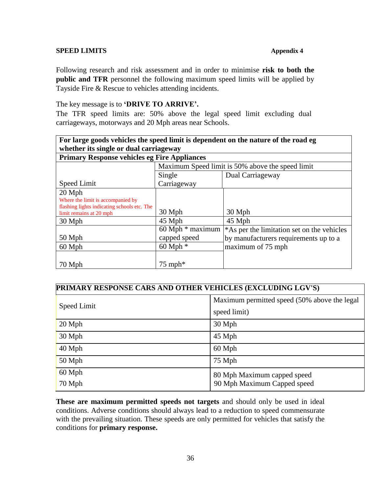#### **SPEED LIMITS Appendix 4**

Following research and risk assessment and in order to minimise **risk to both the public and TFR** personnel the following maximum speed limits will be applied by Tayside Fire & Rescue to vehicles attending incidents.

The key message is to **'DRIVE TO ARRIVE'.**

The TFR speed limits are: 50% above the legal speed limit excluding dual carriageways, motorways and 20 Mph areas near Schools.

| For large goods vehicles the speed limit is dependent on the nature of the road eg |                                                  |                                            |  |  |
|------------------------------------------------------------------------------------|--------------------------------------------------|--------------------------------------------|--|--|
| whether its single or dual carriageway                                             |                                                  |                                            |  |  |
| <b>Primary Response vehicles eg Fire Appliances</b>                                |                                                  |                                            |  |  |
|                                                                                    | Maximum Speed limit is 50% above the speed limit |                                            |  |  |
|                                                                                    | Single                                           | Dual Carriageway                           |  |  |
| Speed Limit                                                                        | Carriageway                                      |                                            |  |  |
| $20$ Mph                                                                           |                                                  |                                            |  |  |
| Where the limit is accompanied by                                                  |                                                  |                                            |  |  |
| flashing lights indicating schools etc. The<br>limit remains at 20 mph             | 30 Mph                                           | 30 Mph                                     |  |  |
| $30$ Mph                                                                           | 45 Mph                                           | 45 Mph                                     |  |  |
|                                                                                    | $60$ Mph $*$ maximum                             | *As per the limitation set on the vehicles |  |  |
| 50 Mph                                                                             | capped speed                                     | by manufacturers requirements up to a      |  |  |
| 60 Mph                                                                             | $60$ Mph $*$                                     | maximum of 75 mph                          |  |  |
|                                                                                    |                                                  |                                            |  |  |
| 70 Mph                                                                             | $75$ mph*                                        |                                            |  |  |

#### **PRIMARY RESPONSE CARS AND OTHER VEHICLES (EXCLUDING LGV'S)**

| Speed Limit | Maximum permitted speed (50% above the legal<br>speed limit) |
|-------------|--------------------------------------------------------------|
| $20$ Mph    | 30 Mph                                                       |
| 30 Mph      | 45 Mph                                                       |
| 40 Mph      | 60 Mph                                                       |
| 50 Mph      | 75 Mph                                                       |
| 60 Mph      | 80 Mph Maximum capped speed                                  |
| 70 Mph      | 90 Mph Maximum Capped speed                                  |

**These are maximum permitted speeds not targets** and should only be used in ideal conditions. Adverse conditions should always lead to a reduction to speed commensurate with the prevailing situation. These speeds are only permitted for vehicles that satisfy the conditions for **primary response.**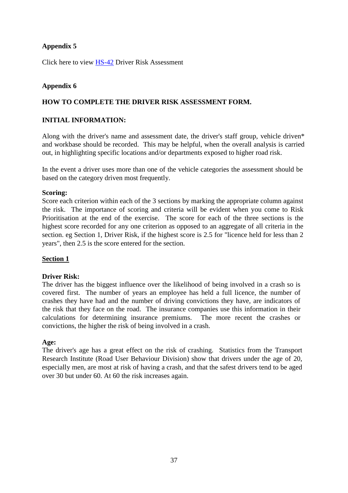#### **Appendix 5**

Click here to view [HS-42](http://www.tfb.net/docs/Shared%20Documents/Standard%20Forms/HS-42%20Driver%20Risk%20Assessment.doc) Driver Risk Assessment

#### **Appendix 6**

#### **HOW TO COMPLETE THE DRIVER RISK ASSESSMENT FORM.**

#### **INITIAL INFORMATION:**

Along with the driver's name and assessment date, the driver's staff group, vehicle driven\* and workbase should be recorded. This may be helpful, when the overall analysis is carried out, in highlighting specific locations and/or departments exposed to higher road risk.

In the event a driver uses more than one of the vehicle categories the assessment should be based on the category driven most frequently.

#### **Scoring:**

Score each criterion within each of the 3 sections by marking the appropriate column against the risk. The importance of scoring and criteria will be evident when you come to Risk Prioritisation at the end of the exercise. The score for each of the three sections is the highest score recorded for any one criterion as opposed to an aggregate of all criteria in the section. eg Section 1, Driver Risk, if the highest score is 2.5 for "licence held for less than 2 years", then 2.5 is the score entered for the section.

#### **Section 1**

#### **Driver Risk:**

The driver has the biggest influence over the likelihood of being involved in a crash so is covered first. The number of years an employee has held a full licence, the number of crashes they have had and the number of driving convictions they have, are indicators of the risk that they face on the road. The insurance companies use this information in their calculations for determining insurance premiums. The more recent the crashes or convictions, the higher the risk of being involved in a crash.

#### **Age:**

The driver's age has a great effect on the risk of crashing. Statistics from the Transport Research Institute (Road User Behaviour Division) show that drivers under the age of 20, especially men, are most at risk of having a crash, and that the safest drivers tend to be aged over 30 but under 60. At 60 the risk increases again.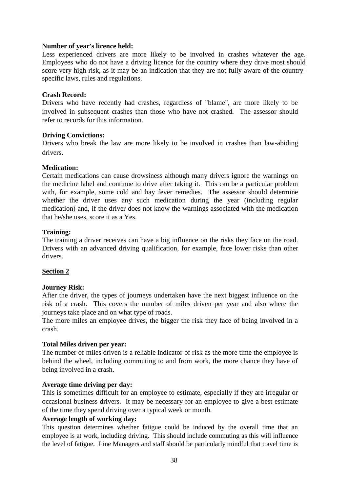#### **Number of year's licence held:**

Less experienced drivers are more likely to be involved in crashes whatever the age. Employees who do not have a driving licence for the country where they drive most should score very high risk, as it may be an indication that they are not fully aware of the countryspecific laws, rules and regulations.

#### **Crash Record:**

Drivers who have recently had crashes, regardless of "blame", are more likely to be involved in subsequent crashes than those who have not crashed. The assessor should refer to records for this information.

#### **Driving Convictions:**

Drivers who break the law are more likely to be involved in crashes than law-abiding drivers.

#### **Medication:**

Certain medications can cause drowsiness although many drivers ignore the warnings on the medicine label and continue to drive after taking it. This can be a particular problem with, for example, some cold and hay fever remedies. The assessor should determine whether the driver uses any such medication during the year (including regular medication) and, if the driver does not know the warnings associated with the medication that he/she uses, score it as a Yes.

#### **Training:**

The training a driver receives can have a big influence on the risks they face on the road. Drivers with an advanced driving qualification, for example, face lower risks than other drivers.

#### **Section 2**

#### **Journey Risk:**

After the driver, the types of journeys undertaken have the next biggest influence on the risk of a crash. This covers the number of miles driven per year and also where the journeys take place and on what type of roads.

The more miles an employee drives, the bigger the risk they face of being involved in a crash.

#### **Total Miles driven per year:**

The number of miles driven is a reliable indicator of risk as the more time the employee is behind the wheel, including commuting to and from work, the more chance they have of being involved in a crash.

#### **Average time driving per day:**

This is sometimes difficult for an employee to estimate, especially if they are irregular or occasional business drivers. It may be necessary for an employee to give a best estimate of the time they spend driving over a typical week or month.

#### **Average length of working day:**

This question determines whether fatigue could be induced by the overall time that an employee is at work, including driving. This should include commuting as this will influence the level of fatigue. Line Managers and staff should be particularly mindful that travel time is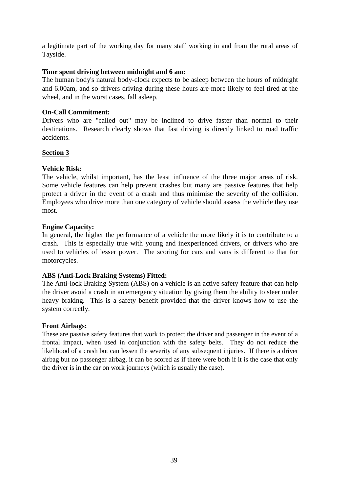a legitimate part of the working day for many staff working in and from the rural areas of Tayside.

#### **Time spent driving between midnight and 6 am:**

The human body's natural body-clock expects to be asleep between the hours of midnight and 6.00am, and so drivers driving during these hours are more likely to feel tired at the wheel, and in the worst cases, fall asleep.

#### **On-Call Commitment:**

Drivers who are "called out" may be inclined to drive faster than normal to their destinations. Research clearly shows that fast driving is directly linked to road traffic accidents.

#### **Section 3**

#### **Vehicle Risk:**

The vehicle, whilst important, has the least influence of the three major areas of risk. Some vehicle features can help prevent crashes but many are passive features that help protect a driver in the event of a crash and thus minimise the severity of the collision. Employees who drive more than one category of vehicle should assess the vehicle they use most.

#### **Engine Capacity:**

In general, the higher the performance of a vehicle the more likely it is to contribute to a crash. This is especially true with young and inexperienced drivers, or drivers who are used to vehicles of lesser power. The scoring for cars and vans is different to that for motorcycles.

#### **ABS (Anti-Lock Braking Systems) Fitted:**

The Anti-lock Braking System (ABS) on a vehicle is an active safety feature that can help the driver avoid a crash in an emergency situation by giving them the ability to steer under heavy braking. This is a safety benefit provided that the driver knows how to use the system correctly.

#### **Front Airbags:**

These are passive safety features that work to protect the driver and passenger in the event of a frontal impact, when used in conjunction with the safety belts. They do not reduce the likelihood of a crash but can lessen the severity of any subsequent injuries. If there is a driver airbag but no passenger airbag, it can be scored as if there were both if it is the case that only the driver is in the car on work journeys (which is usually the case).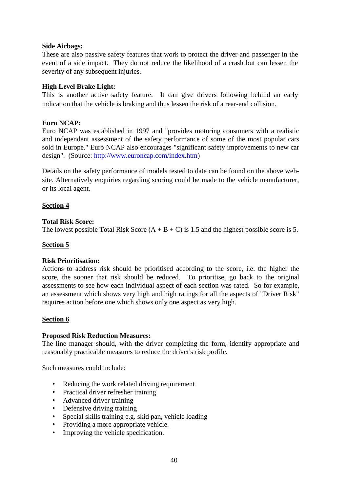#### **Side Airbags:**

These are also passive safety features that work to protect the driver and passenger in the event of a side impact. They do not reduce the likelihood of a crash but can lessen the severity of any subsequent injuries.

#### **High Level Brake Light:**

This is another active safety feature. It can give drivers following behind an early indication that the vehicle is braking and thus lessen the risk of a rear-end collision.

#### **Euro NCAP:**

Euro NCAP was established in 1997 and "provides motoring consumers with a realistic and independent assessment of the safety performance of some of the most popular cars sold in Europe." Euro NCAP also encourages "significant safety improvements to new car design". (Source: http://www.euroncap.com/index.htm)

Details on the safety performance of models tested to date can be found on the above website. Alternatively enquiries regarding scoring could be made to the vehicle manufacturer, or its local agent.

#### **Section 4**

#### **Total Risk Score:**

The lowest possible Total Risk Score  $(A + B + C)$  is 1.5 and the highest possible score is 5.

#### **Section 5**

#### **Risk Prioritisation:**

Actions to address risk should be prioritised according to the score, i.e. the higher the score, the sooner that risk should be reduced. To prioritise, go back to the original assessments to see how each individual aspect of each section was rated. So for example, an assessment which shows very high and high ratings for all the aspects of "Driver Risk" requires action before one which shows only one aspect as very high.

#### **Section 6**

#### **Proposed Risk Reduction Measures:**

The line manager should, with the driver completing the form, identify appropriate and reasonably practicable measures to reduce the driver's risk profile.

Such measures could include:

- Reducing the work related driving requirement
- Practical driver refresher training
- Advanced driver training
- Defensive driving training
- Special skills training e.g. skid pan, vehicle loading
- Providing a more appropriate vehicle.
- Improving the vehicle specification.